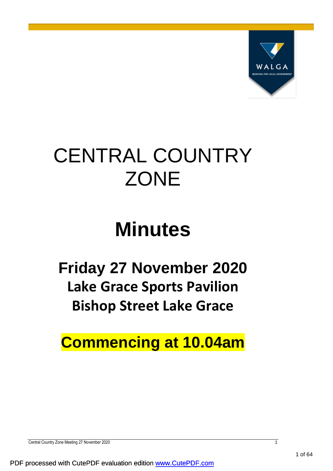

# CENTRAL COUNTRY **ZONE**

# **Minutes**

**Friday 27 November 2020 Lake Grace Sports Pavilion Bishop Street Lake Grace**

**Commencing at 10.04am**

Central Country Zone Meeting 27 November 2020 1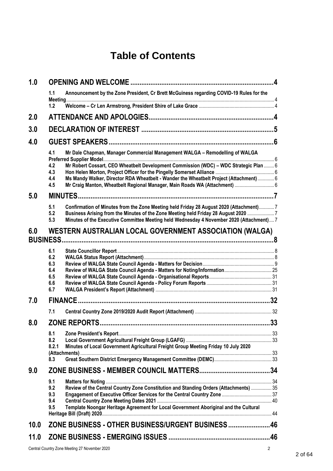# **Table of Contents**

| 1.0  |                                               |                                                                                                                                                                                                                                                                            |     |  |
|------|-----------------------------------------------|----------------------------------------------------------------------------------------------------------------------------------------------------------------------------------------------------------------------------------------------------------------------------|-----|--|
|      | 1.1                                           | Announcement by the Zone President, Cr Brett McGuiness regarding COVID-19 Rules for the                                                                                                                                                                                    |     |  |
|      | 1.2                                           |                                                                                                                                                                                                                                                                            |     |  |
| 2.0  |                                               |                                                                                                                                                                                                                                                                            |     |  |
| 3.0  |                                               |                                                                                                                                                                                                                                                                            |     |  |
| 4.0  |                                               |                                                                                                                                                                                                                                                                            |     |  |
|      | 4.1                                           | Mr Dale Chapman, Manager Commercial Management WALGA - Remodelling of WALGA                                                                                                                                                                                                |     |  |
|      | 4.2<br>4.3<br>4.4<br>4.5                      | Mr Robert Cossart, CEO Wheatbelt Development Commission (WDC) - WDC Strategic Plan  6<br>Ms Mandy Walker, Director RDA Wheatbelt - Wander the Wheatbelt Project (Attachment)  6                                                                                            |     |  |
|      |                                               | Mr Craig Manton, Wheatbelt Regional Manager, Main Roads WA (Attachment)  6                                                                                                                                                                                                 |     |  |
| 5.0  | 5.1<br>5.2<br>5.3                             | Confirmation of Minutes from the Zone Meeting held Friday 28 August 2020 (Attachment) 7<br>Business Arising from the Minutes of the Zone Meeting held Friday 28 August 2020  7<br>Minutes of the Executive Committee Meeting held Wednesday 4 November 2020 (Attachment) 7 |     |  |
| 6.0  |                                               | WESTERN AUSTRALIAN LOCAL GOVERNMENT ASSOCIATION (WALGA)<br><b>BUSINESS</b>                                                                                                                                                                                                 |     |  |
|      | 6.1<br>6.2<br>6.3<br>6.4<br>6.5<br>6.6<br>6.7 |                                                                                                                                                                                                                                                                            |     |  |
| 7.0  |                                               |                                                                                                                                                                                                                                                                            |     |  |
|      | 7.1                                           |                                                                                                                                                                                                                                                                            |     |  |
| 8.0  |                                               | <b>ZONE REPORTS.</b>                                                                                                                                                                                                                                                       | .33 |  |
|      | 8.1                                           |                                                                                                                                                                                                                                                                            |     |  |
|      | 8.2<br>8.2.1                                  | Minutes of Local Government Agricultural Freight Group Meeting Friday 10 July 2020                                                                                                                                                                                         |     |  |
|      | 8.3                                           |                                                                                                                                                                                                                                                                            |     |  |
| 9.0  |                                               |                                                                                                                                                                                                                                                                            |     |  |
|      | 9.1<br>9.2<br>9.3<br>9.4<br>9.5               | Review of the Central Country Zone Constitution and Standing Orders (Attachments)  35<br>Template Noongar Heritage Agreement for Local Government Aboriginal and the Cultural                                                                                              |     |  |
| 10.0 |                                               | ZONE BUSINESS - OTHER BUSINESS/URGENT BUSINESS 46                                                                                                                                                                                                                          |     |  |
|      |                                               |                                                                                                                                                                                                                                                                            |     |  |
| 11.0 |                                               |                                                                                                                                                                                                                                                                            |     |  |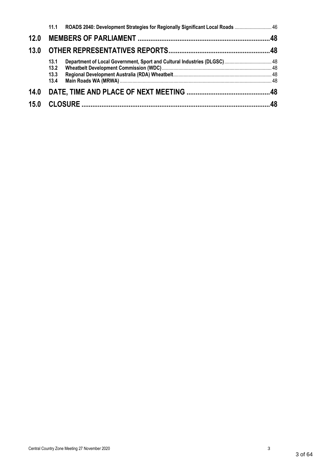|      | 11.1         | ROADS 2040: Development Strategies for Regionally Significant Local Roads  46 |  |
|------|--------------|-------------------------------------------------------------------------------|--|
| 12.0 |              |                                                                               |  |
| 13.0 |              |                                                                               |  |
|      | 13.1<br>13.2 | Department of Local Government, Sport and Cultural Industries (DLGSC) 48      |  |
|      | 13.3<br>13.4 |                                                                               |  |
| 14.0 |              |                                                                               |  |
| 15.0 |              |                                                                               |  |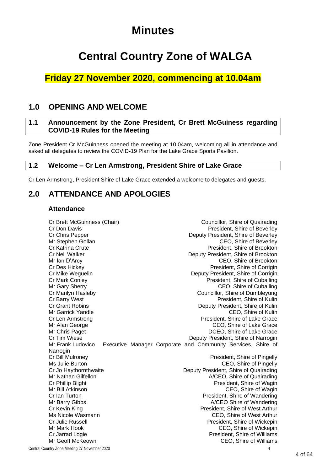# **Minutes**

# **Central Country Zone of WALGA**

# **Friday 27 November 2020, commencing at 10.04am**

# <span id="page-3-0"></span>**1.0 OPENING AND WELCOME**

# <span id="page-3-1"></span>**1.1 Announcement by the Zone President, Cr Brett McGuiness regarding COVID-19 Rules for the Meeting**

Zone President Cr McGuinness opened the meeting at 10.04am, welcoming all in attendance and asked all delegates to review the COVID-19 Plan for the Lake Grace Sports Pavilion.

# <span id="page-3-2"></span>**1.2 Welcome – Cr Len Armstrong, President Shire of Lake Grace**

Cr Len Armstrong, President Shire of Lake Grace extended a welcome to delegates and guests.

# <span id="page-3-3"></span>**2.0 ATTENDANCE AND APOLOGIES**

## **Attendance**

Cr Brett McGuinness (Chair) Councillor, Shire of Quairading Cr Don Davis President, Shire of Beverley Cr Chris Pepper Deputy President, Shire of Beverley Mr Stephen Gollan CEO, Shire of Beverley Cr Katrina Crute **President**, Shire of Brookton Cr Neil Walker Deputy President, Shire of Brookton Mr Ian D'Arcy CEO, Shire of Brookton Cr Des Hickey **President, Shire of Corrigin** Cr Mike Weguelin **Deputy President, Shire of Corrigin** Cr Mark Conley **President, Shire of Cuballing** Mr Gary Sherry **CEO**, Shire of Cuballing Cr Marilyn Hasleby Councillor, Shire of Dumbleyung Cr Barry West President, Shire of Kulin Cr Grant Robins Deputy President, Shire of Kulin Mr Garrick Yandle **CEO**, Shire of Kulin Cr Len Armstrong President, Shire of Lake Grace Mr Alan George Ceorge Ceo, Shire of Lake Grace Mr Chris Paget **DECO**, Shire of Lake Grace Cr Tim Wiese **Deputy President, Shire of Narrogin** Mr Frank Ludovico Executive Manager Corporate and Community Services, Shire of Narrogin Cr Bill Mulroney President, Shire of Pingelly Ms Julie Burton CEO, Shire of Pingelly Cr Jo Haythornthwaite Deputy President, Shire of Quairading Mr Nathan Gilfellon **A/CEO**, Shire of Quairading Cr Phillip Blight **President, Shire of Wagin** President, Shire of Wagin Mr Bill Atkinson CEO, Shire of Wagin Cr Ian Turton President, Shire of Wandering Mr Barry Gibbs A/CEO Shire of Wandering Cr Kevin King President, Shire of West Arthur Ms Nicole Wasmann **Michael Michael CEO**, Shire of West Arthur<br>Cr Julie Russell **Criminal Criminal Criminal Criminal** President. Shire of Wickepin President, Shire of Wickepin Mr Mark Hook CEO, Shire of Wickepin Cr Jarrad Logie **President, Shire of Williams** President, Shire of Williams Mr Geoff McKeown CEO, Shire of Williams

Central Country Zone Meeting 27 November 2020 4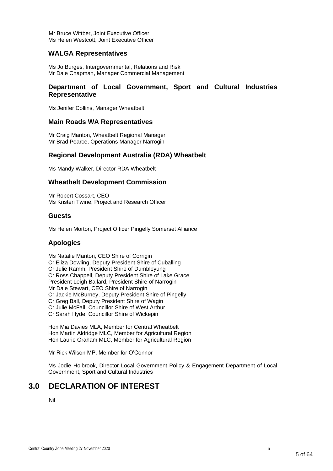Mr Bruce Wittber, Joint Executive Officer Ms Helen Westcott, Joint Executive Officer

## **WALGA Representatives**

Ms Jo Burges, Intergovernmental, Relations and Risk Mr Dale Chapman, Manager Commercial Management

## **Department of Local Government, Sport and Cultural Industries Representative**

Ms Jenifer Collins, Manager Wheatbelt

#### **Main Roads WA Representatives**

Mr Craig Manton, Wheatbelt Regional Manager Mr Brad Pearce, Operations Manager Narrogin

#### **Regional Development Australia (RDA) Wheatbelt**

Ms Mandy Walker, Director RDA Wheatbelt

#### **Wheatbelt Development Commission**

Mr Robert Cossart, CEO Ms Kristen Twine, Project and Research Officer

#### **Guests**

Ms Helen Morton, Project Officer Pingelly Somerset Alliance

## **Apologies**

Ms Natalie Manton, CEO Shire of Corrigin Cr Eliza Dowling, Deputy President Shire of Cuballing Cr Julie Ramm, President Shire of Dumbleyung Cr Ross Chappell, Deputy President Shire of Lake Grace President Leigh Ballard, President Shire of Narrogin Mr Dale Stewart, CEO Shire of Narrogin Cr Jackie McBurney, Deputy President Shire of Pingelly Cr Greg Ball, Deputy President Shire of Wagin Cr Julie McFall, Councillor Shire of West Arthur Cr Sarah Hyde, Councillor Shire of Wickepin

Hon Mia Davies MLA, Member for Central Wheatbelt Hon Martin Aldridge MLC, Member for Agricultural Region Hon Laurie Graham MLC, Member for Agricultural Region

Mr Rick Wilson MP, Member for O'Connor

Ms Jodie Holbrook, Director Local Government Policy & Engagement Department of Local Government, Sport and Cultural Industries

# <span id="page-4-0"></span>**3.0 DECLARATION OF INTEREST**

Nil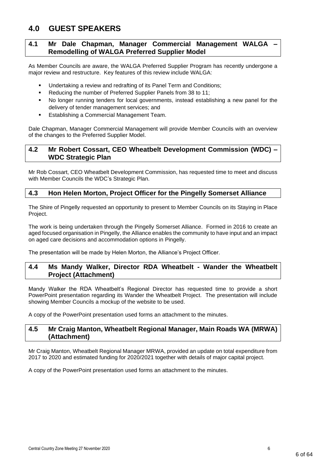# <span id="page-5-0"></span>**4.0 GUEST SPEAKERS**

# <span id="page-5-1"></span>**4.1 Mr Dale Chapman, Manager Commercial Management WALGA – Remodelling of WALGA Preferred Supplier Model**

As Member Councils are aware, the WALGA Preferred Supplier Program has recently undergone a major review and restructure. Key features of this review include WALGA:

- Undertaking a review and redrafting of its Panel Term and Conditions:
- Reducing the number of Preferred Supplier Panels from 38 to 11;
- No longer running tenders for local governments, instead establishing a new panel for the delivery of tender management services; and
- Establishing a Commercial Management Team.

Dale Chapman, Manager Commercial Management will provide Member Councils with an overview of the changes to the Preferred Supplier Model.

# <span id="page-5-2"></span>**4.2 Mr Robert Cossart, CEO Wheatbelt Development Commission (WDC) – WDC Strategic Plan**

Mr Rob Cossart, CEO Wheatbelt Development Commission, has requested time to meet and discuss with Member Councils the WDC's Strategic Plan.

# <span id="page-5-3"></span>**4.3 Hon Helen Morton, Project Officer for the Pingelly Somerset Alliance**

The Shire of Pingelly requested an opportunity to present to Member Councils on its Staying in Place Project.

The work is being undertaken through the Pingelly Somerset Alliance. Formed in 2016 to create an aged focused organisation in Pingelly, the Alliance enables the community to have input and an impact on aged care decisions and accommodation options in Pingelly.

The presentation will be made by Helen Morton, the Alliance's Project Officer.

## <span id="page-5-4"></span>**4.4 Ms Mandy Walker, Director RDA Wheatbelt - Wander the Wheatbelt Project (Attachment)**

Mandy Walker the RDA Wheatbelt's Regional Director has requested time to provide a short PowerPoint presentation regarding its Wander the Wheatbelt Project. The presentation will include showing Member Councils a mockup of the website to be used.

A copy of the PowerPoint presentation used forms an attachment to the minutes.

## <span id="page-5-5"></span>**4.5 Mr Craig Manton, Wheatbelt Regional Manager, Main Roads WA (MRWA) (Attachment)**

Mr Craig Manton, Wheatbelt Regional Manager MRWA, provided an update on total expenditure from 2017 to 2020 and estimated funding for 2020/2021 together with details of major capital project.

A copy of the PowerPoint presentation used forms an attachment to the minutes.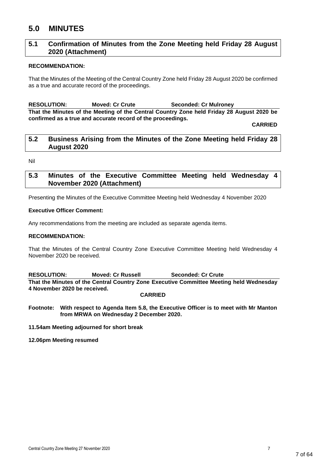# <span id="page-6-0"></span>**5.0 MINUTES**

# <span id="page-6-1"></span>**5.1 Confirmation of Minutes from the Zone Meeting held Friday 28 August 2020 (Attachment)**

#### **RECOMMENDATION:**

That the Minutes of the Meeting of the Central Country Zone held Friday 28 August 2020 be confirmed as a true and accurate record of the proceedings.

**RESOLUTION: Moved: Cr Crute Seconded: Cr Mulroney That the Minutes of the Meeting of the Central Country Zone held Friday 28 August 2020 be confirmed as a true and accurate record of the proceedings.**

**CARRIED**

## <span id="page-6-2"></span>**5.2 Business Arising from the Minutes of the Zone Meeting held Friday 28 August 2020**

Nil

# <span id="page-6-3"></span>**5.3 Minutes of the Executive Committee Meeting held Wednesday 4 November 2020 (Attachment)**

Presenting the Minutes of the Executive Committee Meeting held Wednesday 4 November 2020

#### **Executive Officer Comment:**

Any recommendations from the meeting are included as separate agenda items.

#### **RECOMMENDATION:**

That the Minutes of the Central Country Zone Executive Committee Meeting held Wednesday 4 November 2020 be received.

**RESOLUTION: Moved: Cr Russell Seconded: Cr Crute That the Minutes of the Central Country Zone Executive Committee Meeting held Wednesday 4 November 2020 be received.**

#### **CARRIED**

**Footnote: With respect to Agenda Item 5.8, the Executive Officer is to meet with Mr Manton from MRWA on Wednesday 2 December 2020.**

**11.54am Meeting adjourned for short break**

**12.06pm Meeting resumed**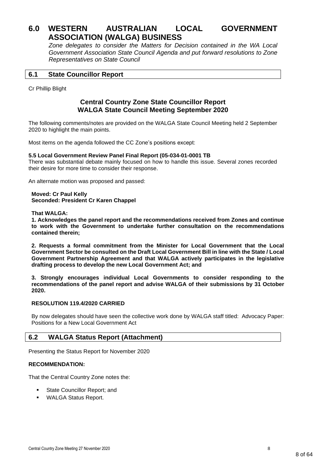# <span id="page-7-0"></span>**6.0 WESTERN AUSTRALIAN LOCAL GOVERNMENT ASSOCIATION (WALGA) BUSINESS**

*Zone delegates to consider the Matters for Decision contained in the WA Local Government Association State Council Agenda and put forward resolutions to Zone Representatives on State Council*

## <span id="page-7-1"></span>**6.1 State Councillor Report**

Cr Phillip Blight

# **Central Country Zone State Councillor Report WALGA State Council Meeting September 2020**

The following comments/notes are provided on the WALGA State Council Meeting held 2 September 2020 to highlight the main points.

Most items on the agenda followed the CC Zone's positions except:

#### **5.5 Local Government Review Panel Final Report (05-034-01-0001 TB**

There was substantial debate mainly focused on how to handle this issue. Several zones recorded their desire for more time to consider their response.

An alternate motion was proposed and passed:

**Moved: Cr Paul Kelly Seconded: President Cr Karen Chappel**

#### **That WALGA:**

**1. Acknowledges the panel report and the recommendations received from Zones and continue to work with the Government to undertake further consultation on the recommendations contained therein;**

**2. Requests a formal commitment from the Minister for Local Government that the Local Government Sector be consulted on the Draft Local Government Bill in line with the State / Local Government Partnership Agreement and that WALGA actively participates in the legislative drafting process to develop the new Local Government Act; and** 

**3. Strongly encourages individual Local Governments to consider responding to the recommendations of the panel report and advise WALGA of their submissions by 31 October 2020.**

#### **RESOLUTION 119.4/2020 CARRIED**

By now delegates should have seen the collective work done by WALGA staff titled: Advocacy Paper: Positions for a New Local Government Act

## <span id="page-7-2"></span>**6.2 WALGA Status Report (Attachment)**

Presenting the Status Report for November 2020

#### **RECOMMENDATION:**

That the Central Country Zone notes the:

- State Councillor Report; and
- **WALGA Status Report.**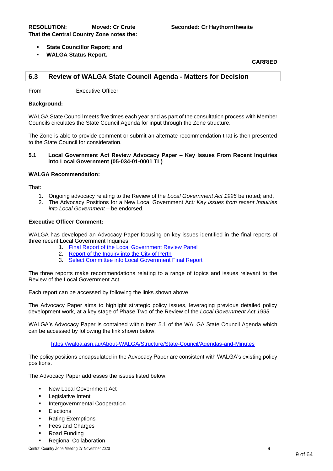**That the Central Country Zone notes the:**

- **State Councillor Report: and**
- **WALGA Status Report.**

**CARRIED**

## <span id="page-8-0"></span>**6.3 Review of WALGA State Council Agenda - Matters for Decision**

From Executive Officer

#### **Background:**

WALGA State Council meets five times each year and as part of the consultation process with Member Councils circulates the State Council Agenda for input through the Zone structure.

The Zone is able to provide comment or submit an alternate recommendation that is then presented to the State Council for consideration.

#### **5.1 Local Government Act Review Advocacy Paper – Key Issues From Recent Inquiries into Local Government (05-034-01-0001 TL)**

#### **WALGA Recommendation:**

That:

- 1. Ongoing advocacy relating to the Review of the *Local Government Act 1995* be noted; and,
- 2. The Advocacy Positions for a New Local Government Act*: Key issues from recent Inquiries into Local Government* – be endorsed.

#### **Executive Officer Comment:**

WALGA has developed an Advocacy Paper focusing on key issues identified in the final reports of three recent Local Government Inquiries:

- 1. [Final Report of the Local Government Review Panel](https://www.dlgsc.wa.gov.au/docs/default-source/local-government/local-government-review-panel-final-report.pdf?sfvrsn=acefce14_1)
- 2. [Report of the Inquiry into the City of Perth](https://www.dlgsc.wa.gov.au/docs/default-source/local-government/inquiries/city-of-perth/copi_volume-1-4.pdf?sfvrsn=cdfa5ec4_3)
- 3. [Select Committee into Local Government Final Report](https://www.parliament.wa.gov.au/Parliament/commit.nsf/(Report+Lookup+by+Com+ID)/D0945E0944747068482585EA001F7481/$file/lo.lgi.200922.rpf.001.xx.002.002.pdf)

The three reports make recommendations relating to a range of topics and issues relevant to the Review of the Local Government Act.

Each report can be accessed by following the links shown above.

The Advocacy Paper aims to highlight strategic policy issues, leveraging previous detailed policy development work, at a key stage of Phase Two of the Review of the *Local Government Act 1995.*

WALGA's Advocacy Paper is contained within Item 5.1 of the WALGA State Council Agenda which can be accessed by following the link shown below:

<https://walga.asn.au/About-WALGA/Structure/State-Council/Agendas-and-Minutes>

The policy positions encapsulated in the Advocacy Paper are consistent with WALGA's existing policy positions.

The Advocacy Paper addresses the issues listed below:

- New Local Government Act
- **Legislative Intent**
- **Intergovernmental Cooperation**
- **Elections**
- **Rating Exemptions**
- **Fees and Charges**
- **Road Funding**
- **Regional Collaboration**

Central Country Zone Meeting 27 November 2020 9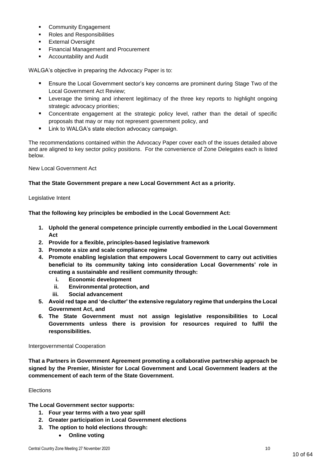- **Community Engagement**
- Roles and Responsibilities
- **External Oversight**
- **Financial Management and Procurement**
- **Accountability and Audit**

WALGA's objective in preparing the Advocacy Paper is to:

- Ensure the Local Government sector's key concerns are prominent during Stage Two of the Local Government Act Review;
- **EXECT** Leverage the timing and inherent legitimacy of the three key reports to highlight ongoing strategic advocacy priorities;
- Concentrate engagement at the strategic policy level, rather than the detail of specific proposals that may or may not represent government policy, and
- Link to WALGA's state election advocacy campaign.

The recommendations contained within the Advocacy Paper cover each of the issues detailed above and are aligned to key sector policy positions. For the convenience of Zone Delegates each is listed below.

New Local Government Act

#### **That the State Government prepare a new Local Government Act as a priority.**

Legislative Intent

**That the following key principles be embodied in the Local Government Act:**

- **1. Uphold the general competence principle currently embodied in the Local Government Act**
- **2. Provide for a flexible, principles-based legislative framework**
- **3. Promote a size and scale compliance regime**
- **4. Promote enabling legislation that empowers Local Government to carry out activities beneficial to its community taking into consideration Local Governments' role in creating a sustainable and resilient community through:**
	- **i. Economic development**
	- **ii. Environmental protection, and**
	- **iii. Social advancement**
- **5. Avoid red tape and 'de-clutter' the extensive regulatory regime that underpins the Local Government Act, and**
- **6. The State Government must not assign legislative responsibilities to Local Governments unless there is provision for resources required to fulfil the responsibilities.**

Intergovernmental Cooperation

**That a Partners in Government Agreement promoting a collaborative partnership approach be signed by the Premier, Minister for Local Government and Local Government leaders at the commencement of each term of the State Government.**

#### Elections

**The Local Government sector supports:**

- **1. Four year terms with a two year spill**
- **2. Greater participation in Local Government elections**
- **3. The option to hold elections through:**
	- **Online voting**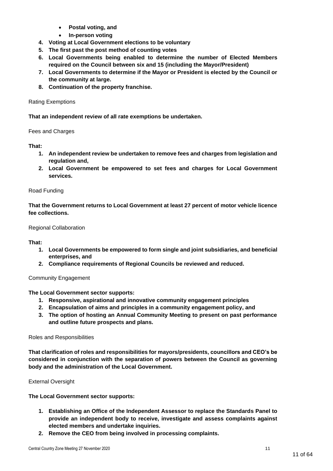- **Postal voting, and**
- **In-person voting**
- **4. Voting at Local Government elections to be voluntary**
- **5. The first past the post method of counting votes**
- **6. Local Governments being enabled to determine the number of Elected Members required on the Council between six and 15 (including the Mayor/President)**
- **7. Local Governments to determine if the Mayor or President is elected by the Council or the community at large.**
- **8. Continuation of the property franchise.**

#### Rating Exemptions

**That an independent review of all rate exemptions be undertaken.**

Fees and Charges

**That:**

- **1. An independent review be undertaken to remove fees and charges from legislation and regulation and,**
- **2. Local Government be empowered to set fees and charges for Local Government services.**

#### Road Funding

**That the Government returns to Local Government at least 27 percent of motor vehicle licence fee collections.**

#### Regional Collaboration

**That:**

- **1. Local Governments be empowered to form single and joint subsidiaries, and beneficial enterprises, and**
- **2. Compliance requirements of Regional Councils be reviewed and reduced.**

#### Community Engagement

**The Local Government sector supports:**

- **1. Responsive, aspirational and innovative community engagement principles**
- **2. Encapsulation of aims and principles in a community engagement policy, and**
- **3. The option of hosting an Annual Community Meeting to present on past performance and outline future prospects and plans.**

#### Roles and Responsibilities

**That clarification of roles and responsibilities for mayors/presidents, councillors and CEO's be considered in conjunction with the separation of powers between the Council as governing body and the administration of the Local Government.**

External Oversight

**The Local Government sector supports:**

- **1. Establishing an Office of the Independent Assessor to replace the Standards Panel to provide an independent body to receive, investigate and assess complaints against elected members and undertake inquiries.**
- **2. Remove the CEO from being involved in processing complaints.**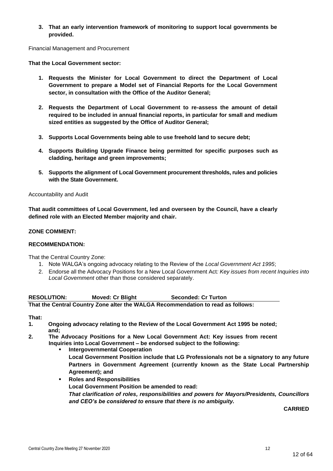**3. That an early intervention framework of monitoring to support local governments be provided.**

Financial Management and Procurement

**That the Local Government sector:**

- **1. Requests the Minister for Local Government to direct the Department of Local Government to prepare a Model set of Financial Reports for the Local Government sector, in consultation with the Office of the Auditor General;**
- **2. Requests the Department of Local Government to re-assess the amount of detail required to be included in annual financial reports, in particular for small and medium sized entities as suggested by the Office of Auditor General;**
- **3. Supports Local Governments being able to use freehold land to secure debt;**
- **4. Supports Building Upgrade Finance being permitted for specific purposes such as cladding, heritage and green improvements;**
- **5. Supports the alignment of Local Government procurement thresholds, rules and policies with the State Government.**

#### Accountability and Audit

**That audit committees of Local Government, led and overseen by the Council, have a clearly defined role with an Elected Member majority and chair.**

#### **ZONE COMMENT:**

#### **RECOMMENDATION:**

That the Central Country Zone:

- 1. Note WALGA's ongoing advocacy relating to the Review of the *Local Government Act 1995*;
- 2. Endorse all the Advocacy Positions for a New Local Government Act*: Key issues from recent Inquiries into Local Government* other than those considered separately.

**RESOLUTION: Moved: Cr Blight Seconded: Cr Turton That the Central Country Zone alter the WALGA Recommendation to read as follows:**

#### **That:**

- **1. Ongoing advocacy relating to the Review of the Local Government Act 1995 be noted; and;**
- **2. The Advocacy Positions for a New Local Government Act: Key issues from recent Inquiries into Local Government – be endorsed subject to the following:**
	- **Intergovernmental Cooperation** 
		- **Local Government Position include that LG Professionals not be a signatory to any future Partners in Government Agreement (currently known as the State Local Partnership Agreement); and**
	- **Roles and Responsibilities Local Government Position be amended to read:** *That clarification of roles, responsibilities and powers for Mayors/Presidents, Councillors and CEO's be considered to ensure that there is no ambiguity.*

**CARRIED**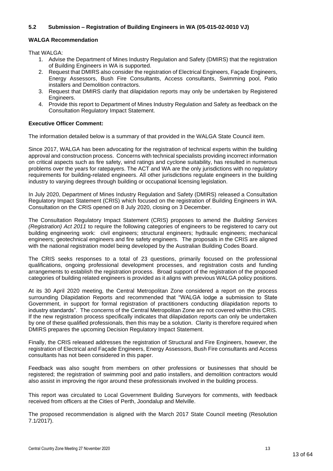### **5.2 Submission – Registration of Building Engineers in WA (05-015-02-0010 VJ)**

#### **WALGA Recommendation**

That WALGA:

- 1. Advise the Department of Mines Industry Regulation and Safety (DMIRS) that the registration of Building Engineers in WA is supported.
- 2. Request that DMIRS also consider the registration of Electrical Engineers, Façade Engineers, Energy Assessors, Bush Fire Consultants, Access consultants, Swimming pool, Patio installers and Demolition contractors.
- 3. Request that DMIRS clarify that dilapidation reports may only be undertaken by Registered Engineers.
- 4. Provide this report to Department of Mines Industry Regulation and Safety as feedback on the Consultation Regulatory Impact Statement.

#### **Executive Officer Comment:**

The information detailed below is a summary of that provided in the WALGA State Council item.

Since 2017, WALGA has been advocating for the registration of technical experts within the building approval and construction process. Concerns with technical specialists providing incorrect information on critical aspects such as fire safety, wind ratings and cyclone suitability, has resulted in numerous problems over the years for ratepayers. The ACT and WA are the only jurisdictions with no regulatory requirements for building-related engineers. All other jurisdictions regulate engineers in the building industry to varying degrees through building or occupational licensing legislation.

In July 2020, Department of Mines Industry Regulation and Safety (DMIRS) released a Consultation Regulatory Impact Statement (CRIS) which focused on the registration of Building Engineers in WA. Consultation on the CRIS opened on 8 July 2020, closing on 3 December.

The Consultation Regulatory Impact Statement (CRIS) proposes to amend the *Building Services (Registration) Act 2011* to require the following categories of engineers to be registered to carry out building engineering work: civil engineers; structural engineers; hydraulic engineers; mechanical engineers; geotechnical engineers and fire safety engineers. The proposals in the CRIS are aligned with the national registration model being developed by the Australian Building Codes Board.

The CRIS seeks responses to a total of 23 questions, primarily focused on the professional qualifications, ongoing professional development processes, and registration costs and funding arrangements to establish the registration process. Broad support of the registration of the proposed categories of building related engineers is provided as it aligns with previous WALGA policy positions.

At its 30 April 2020 meeting, the Central Metropolitan Zone considered a report on the process surrounding Dilapidation Reports and recommended that "WALGA lodge a submission to State Government, in support for formal registration of practitioners conducting dilapidation reports to industry standards". The concerns of the Central Metropolitan Zone are not covered within this CRIS. If the new registration process specifically indicates that dilapidation reports can only be undertaken by one of these qualified professionals, then this may be a solution. Clarity is therefore required when DMIRS prepares the upcoming Decision Regulatory Impact Statement.

Finally, the CRIS released addresses the registration of Structural and Fire Engineers, however, the registration of Electrical and Façade Engineers, Energy Assessors, Bush Fire consultants and Access consultants has not been considered in this paper.

Feedback was also sought from members on other professions or businesses that should be registered; the registration of swimming pool and patio installers, and demolition contractors would also assist in improving the rigor around these professionals involved in the building process.

This report was circulated to Local Government Building Surveyors for comments, with feedback received from officers at the Cities of Perth, Joondalup and Melville.

The proposed recommendation is aligned with the March 2017 State Council meeting (Resolution 7.1/2017).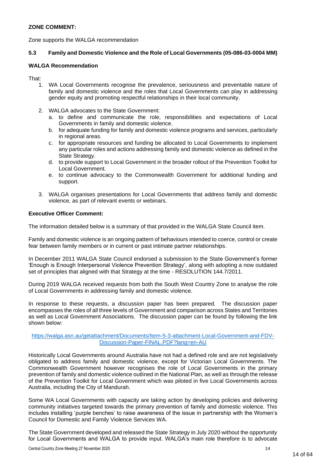## **ZONE COMMENT:**

Zone supports the WALGA recommendation

#### **5.3 Family and Domestic Violence and the Role of Local Governments (05-086-03-0004 MM)**

#### **WALGA Recommendation**

That:

- 1. WA Local Governments recognise the prevalence, seriousness and preventable nature of family and domestic violence and the roles that Local Governments can play in addressing gender equity and promoting respectful relationships in their local community.
- 2. WALGA advocates to the State Government:
	- a. to define and communicate the role, responsibilities and expectations of Local Governments in family and domestic violence.
	- b. for adequate funding for family and domestic violence programs and services, particularly in regional areas.
	- c. for appropriate resources and funding be allocated to Local Governments to implement any particular roles and actions addressing family and domestic violence as defined in the State Strategy.
	- d. to provide support to Local Government in the broader rollout of the Prevention Toolkit for Local Government.
	- e. to continue advocacy to the Commonwealth Government for additional funding and support.
- 3. WALGA organises presentations for Local Governments that address family and domestic violence, as part of relevant events or webinars.

#### **Executive Officer Comment:**

The information detailed below is a summary of that provided in the WALGA State Council item.

Family and domestic violence is an ongoing pattern of behaviours intended to coerce, control or create fear between family members or in current or past intimate partner relationships.

In December 2011 WALGA State Council endorsed a submission to the State Government's former 'Enough is Enough Interpersonal Violence Prevention Strategy', along with adopting a now outdated set of principles that aligned with that Strategy at the time - RESOLUTION 144.7/2011.

During 2019 WALGA received requests from both the South West Country Zone to analyse the role of Local Governments in addressing family and domestic violence.

In response to these requests, a discussion paper has been prepared. The discussion paper encompasses the roles of all three levels of Government and comparison across States and Territories as well as Local Government Associations. The discussion paper can be found by following the link shown below:

#### [https://walga.asn.au/getattachment/Documents/Item-5-3-attachment-Local-Government-and-FDV-](https://walga.asn.au/getattachment/Documents/Item-5-3-attachment-Local-Government-and-FDV-Discussion-Paper-FINAL.PDF?lang=en-AU)[Discussion-Paper-FINAL.PDF?lang=en-AU](https://walga.asn.au/getattachment/Documents/Item-5-3-attachment-Local-Government-and-FDV-Discussion-Paper-FINAL.PDF?lang=en-AU)

Historically Local Governments around Australia have not had a defined role and are not legislatively obligated to address family and domestic violence, except for Victorian Local Governments. The Commonwealth Government however recognises the role of Local Governments in the primary prevention of family and domestic violence outlined in the National Plan, as well as through the release of the Prevention Toolkit for Local Government which was piloted in five Local Governments across Australia, including the City of Mandurah.

Some WA Local Governments with capacity are taking action by developing policies and delivering community initiatives targeted towards the primary prevention of family and domestic violence. This includes installing 'purple benches' to raise awareness of the issue in partnership with the Women's Council for Domestic and Family Violence Services WA.

The State Government developed and released the State Strategy in July 2020 without the opportunity for Local Governments and WALGA to provide input. WALGA's main role therefore is to advocate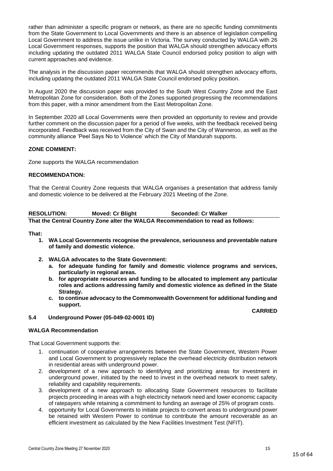rather than administer a specific program or network, as there are no specific funding commitments from the State Government to Local Governments and there is an absence of legislation compelling Local Government to address the issue unlike in Victoria. The survey conducted by WALGA with 26 Local Government responses, supports the position that WALGA should strengthen advocacy efforts including updating the outdated 2011 WALGA State Council endorsed policy position to align with current approaches and evidence.

The analysis in the discussion paper recommends that WALGA should strengthen advocacy efforts, including updating the outdated 2011 WALGA State Council endorsed policy position.

In August 2020 the discussion paper was provided to the South West Country Zone and the East Metropolitan Zone for consideration. Both of the Zones supported progressing the recommendations from this paper, with a minor amendment from the East Metropolitan Zone.

In September 2020 all Local Governments were then provided an opportunity to review and provide further comment on the discussion paper for a period of five weeks, with the feedback received being incorporated. Feedback was received from the City of Swan and the City of Wanneroo, as well as the community alliance 'Peel Says No to Violence' which the City of Mandurah supports.

#### **ZONE COMMENT:**

Zone supports the WALGA recommendation

#### **RECOMMENDATION:**

That the Central Country Zone requests that WALGA organises a presentation that address family and domestic violence to be delivered at the February 2021 Meeting of the Zone.

| <b>RESOLUTION:</b> | <b>Moved: Cr Blight</b> | <b>Seconded: Cr Walker</b>                                                       |
|--------------------|-------------------------|----------------------------------------------------------------------------------|
|                    |                         | That the Central Country Zone alter the WALGA Recommendation to read as follows: |

**That:**

- **1. WA Local Governments recognise the prevalence, seriousness and preventable nature of family and domestic violence.**
- **2. WALGA advocates to the State Government:**
	- **a. for adequate funding for family and domestic violence programs and services, particularly in regional areas.**
	- **b. for appropriate resources and funding to be allocated to implement any particular roles and actions addressing family and domestic violence as defined in the State Strategy.**
	- **c. to continue advocacy to the Commonwealth Government for additional funding and support.**

**CARRIED**

#### **5.4 Underground Power (05-049-02-0001 ID)**

#### **WALGA Recommendation**

That Local Government supports the:

- 1. continuation of cooperative arrangements between the State Government, Western Power and Local Government to progressively replace the overhead electricity distribution network in residential areas with underground power.
- 2. development of a new approach to identifying and prioritizing areas for investment in underground power, initiated by the need to invest in the overhead network to meet safety, reliability and capability requirements.
- 3. development of a new approach to allocating State Government resources to facilitate projects proceeding in areas with a high electricity network need and lower economic capacity of ratepayers while retaining a commitment to funding an average of 25% of program costs.
- 4. opportunity for Local Governments to initiate projects to convert areas to underground power be retained with Western Power to continue to contribute the amount recoverable as an efficient investment as calculated by the New Facilities Investment Test (NFIT).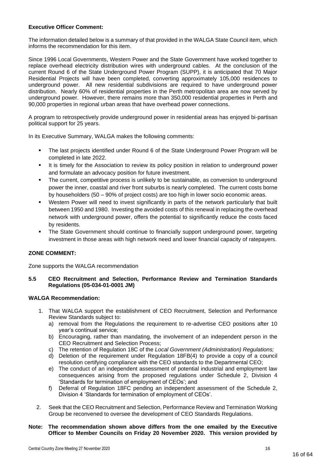#### **Executive Officer Comment:**

The information detailed below is a summary of that provided in the WALGA State Council item, which informs the recommendation for this item.

Since 1996 Local Governments, Western Power and the State Government have worked together to replace overhead electricity distribution wires with underground cables. At the conclusion of the current Round 6 of the State Underground Power Program (SUPP), it is anticipated that 70 Major Residential Projects will have been completed, converting approximately 105,000 residences to underground power. All new residential subdivisions are required to have underground power distribution. Nearly 60% of residential properties in the Perth metropolitan area are now served by underground power. However, there remains more than 350,000 residential properties in Perth and 90,000 properties in regional urban areas that have overhead power connections.

A program to retrospectively provide underground power in residential areas has enjoyed bi-partisan political support for 25 years.

In its Executive Summary, WALGA makes the following comments:

- The last projects identified under Round 6 of the State Underground Power Program will be completed in late 2022.
- It is timely for the Association to review its policy position in relation to underground power and formulate an advocacy position for future investment.
- The current, competitive process is unlikely to be sustainable, as conversion to underground power the inner, coastal and river front suburbs is nearly completed. The current costs borne by householders (50 – 90% of project costs) are too high in lower socio economic areas.
- Western Power will need to invest significantly in parts of the network particularly that built between 1950 and 1980. Investing the avoided costs of this renewal in replacing the overhead network with underground power, offers the potential to significantly reduce the costs faced by residents.
- The State Government should continue to financially support underground power, targeting investment in those areas with high network need and lower financial capacity of ratepayers.

#### **ZONE COMMENT:**

Zone supports the WALGA recommendation

#### **5.5 CEO Recruitment and Selection, Performance Review and Termination Standards Regulations (05-034-01-0001 JM)**

#### **WALGA Recommendation:**

- 1. That WALGA support the establishment of CEO Recruitment, Selection and Performance Review Standards subject to:
	- a) removal from the Regulations the requirement to re-advertise CEO positions after 10 year's continual service;
	- b) Encouraging, rather than mandating, the involvement of an independent person in the CEO Recruitment and Selection Process;
	- c) The retention of Regulation 18C of the *Local Government (Administration) Regulations;*
	- d) Deletion of the requirement under Regulation 18FB(4) to provide a copy of a council resolution certifying compliance with the CEO standards to the Departmental CEO;
	- e) The conduct of an independent assessment of potential industrial and employment law consequences arising from the proposed regulations under Schedule 2, Division 4 'Standards for termination of employment of CEOs'; and
	- f) Deferral of Regulation 18FC pending an independent assessment of the Schedule 2, Division 4 'Standards for termination of employment of CEOs'.
- 2. Seek that the CEO Recruitment and Selection, Performance Review and Termination Working Group be reconvened to oversee the development of CEO Standards Regulations.

#### **Note: The recommendation shown above differs from the one emailed by the Executive Officer to Member Councils on Friday 20 November 2020. This version provided by**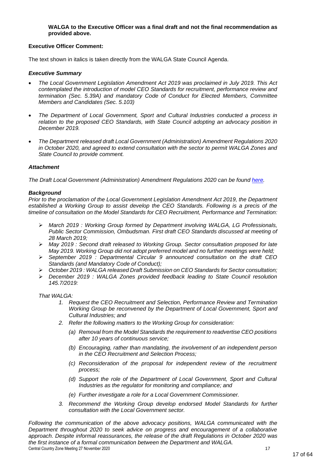#### **WALGA to the Executive Officer was a final draft and not the final recommendation as provided above.**

#### **Executive Officer Comment:**

The text shown in italics is taken directly from the WALGA State Council Agenda.

#### *Executive Summary*

- *The Local Government Legislation Amendment Act 2019 was proclaimed in July 2019. This Act contemplated the introduction of model CEO Standards for recruitment, performance review and termination (Sec. 5.39A) and mandatory Code of Conduct for Elected Members, Committee Members and Candidates (Sec. 5.103)*
- *The Department of Local Government, Sport and Cultural Industries conducted a process in*  relation to the proposed CEO Standards, with State Council adopting an advocacy position in *December 2019.*
- *The Department released draft Local Government (Administration) Amendment Regulations 2020 in October 2020, and agreed to extend consultation with the sector to permit WALGA Zones and State Council to provide comment.*

#### *Attachment*

*The Draft Local Government (Administration) Amendment Regulations 2020 can be found [here.](https://www.dlgsc.wa.gov.au/local-government/strengthening-local-government/public-consultations/local-government-act-review#consultation)*

#### *Background*

*Prior to the proclamation of the Local Government Legislation Amendment Act 2019, the Department established a Working Group to assist develop the CEO Standards. Following is a precis of the timeline of consultation on the Model Standards for CEO Recruitment, Performance and Termination:*

- ➢ *March 2019 : Working Group formed by Department involving WALGA, LG Professionals, Public Sector Commission, Ombudsman. First draft CEO Standards discussed at meeting of 28 March 2019;*
- ➢ *May 2019 : Second draft released to Working Group. Sector consultation proposed for late May 2019. Working Group did not adopt preferred model and no further meetings were held;*
- ➢ *September 2019 : Departmental Circular 9 announced consultation on the draft CEO Standards (and Mandatory Code of Conduct);*
- ➢ *October 2019 : WALGA released Draft Submission on CEO Standards for Sector consultation;*
- ➢ *December 2019 : WALGA Zones provided feedback leading to State Council resolution 145.7/2019:*

*That WALGA:*

- *1. Request the CEO Recruitment and Selection, Performance Review and Termination Working Group be reconvened by the Department of Local Government, Sport and Cultural Industries; and*
- *2. Refer the following matters to the Working Group for consideration:*
	- *(a) Removal from the Model Standards the requirement to readvertise CEO positions after 10 years of continuous service;*
	- *(b) Encouraging, rather than mandating, the involvement of an independent person in the CEO Recruitment and Selection Process;*
	- *(c) Reconsideration of the proposal for independent review of the recruitment process;*
	- *(d) Support the role of the Department of Local Government, Sport and Cultural Industries as the regulator for monitoring and compliance; and*
	- *(e) Further investigate a role for a Local Government Commissioner.*
- *3. Recommend the Working Group develop endorsed Model Standards for further consultation with the Local Government sector.*

Central Country Zone Meeting 27 November 2020 17 17 *Following the communication of the above advocacy positions, WALGA communicated with the Department throughout 2020 to seek advice on progress and encouragement of a collaborative approach. Despite informal reassurances, the release of the draft Regulations in October 2020 was the first instance of a formal communication between the Department and WALGA.*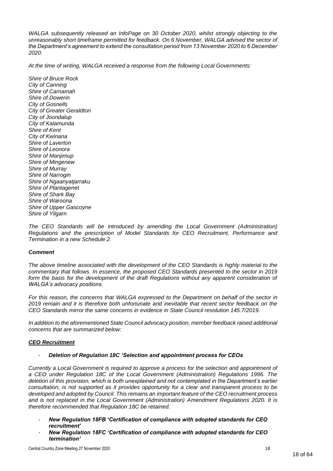*WALGA subsequently released an InfoPage on 30 October 2020, whilst strongly objecting to the unreasonably short timeframe permitted for feedback. On 6 November, WALGA advised the sector of the Department's agreement to extend the consultation period from 13 November 2020 to 6 December 2020.* 

*At the time of writing, WALGA received a response from the following Local Governments:*

*Shire of Bruce Rock City of Canning Shire of Carnamah Shire of Dowerin City of Gosnells City of Greater Geraldton City of Joondalup City of Kalamunda Shire of Kent City of Kwinana Shire of Laverton Shire of Leonora Shire of Manjimup Shire of Mingenew Shire of Murray Shire of Narrogin Shire of Ngaanyatjarraku Shire of Plantagenet Shire of Shark Bay Shire of Waroona Shire of Upper Gascoyne Shire of Yilgarn*

The CEO Standards will be introduced by amending the Local Government (Administration) *Regulations and the prescription of Model Standards for CEO Recruitment, Performance and Termination in a new Schedule 2.* 

#### *Comment*

*The above timeline associated with the development of the CEO Standards is highly material to the commentary that follows. In essence, the proposed CEO Standards presented to the sector in 2019*  form the basis for the development of the draft Regulations without any apparent consideration of *WALGA's advocacy positions.*

*For this reason, the concerns that WALGA expressed to the Department on behalf of the sector in 2019 remain and it is therefore both unfortunate and inevitable that recent sector feedback on the CEO Standards mirror the same concerns in evidence in State Council resolution 145.7/2019.*

*In addition to the aforementioned State Council advocacy position, member feedback raised additional concerns that are summarized below:*

#### *CEO Recruitment*

#### - *Deletion of Regulation 18C 'Selection and appointment process for CEOs*

*Currently a Local Government is required to approve a process for the selection and appointment of a CEO under Regulation 18C of the Local Government (Administration) Regulations 1996. The deletion of this provision, which is both unexplained and not contemplated in the Department's earlier consultation, is not supported as it provides opportunity for a clear and transparent process to be developed and adopted by Council. This remains an important feature of the CEO recruitment process and is not replaced in the Local Government (Administration) Amendment Regulations 2020. It is therefore recommended that Regulation 18C be retained.* 

- *New Regulation 18FB 'Certification of compliance with adopted standards for CEO recruitment'*
- *New Regulation 18FC 'Certification of compliance with adopted standards for CEO termination'*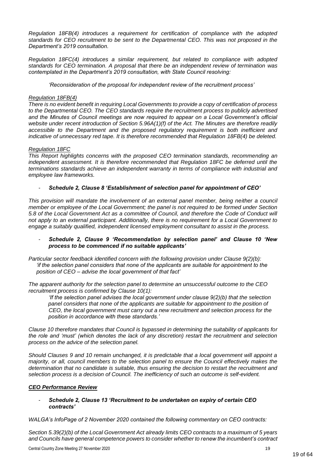*Regulation 18FB(4) introduces a requirement for certification of compliance with the adopted standards for CEO recruitment to be sent to the Departmental CEO. This was not proposed in the Department's 2019 consultation.*

*Regulation 18FC(4) introduces a similar requirement, but related to compliance with adopted standards for CEO termination. A proposal that there be an independent review of termination was contemplated in the Department's 2019 consultation, with State Council resolving:*

*'Reconsideration of the proposal for independent review of the recruitment process'*

#### *Regulation 18FB(4)*

*There is no evident benefit in requiring Local Governments to provide a copy of certification of process to the Departmental CEO. The CEO standards require the recruitment process to publicly advertised and the Minutes of Council meetings are now required to appear on a Local Government's official website under recent introduction of Section 5.96A(1)(f) of the Act. The Minutes are therefore readily accessible to the Department and the proposed regulatory requirement is both inefficient and indicative of unnecessary red tape. It is therefore recommended that Regulation 18FB(4) be deleted.*

#### *Regulation 18FC*

*This Report highlights concerns with the proposed CEO termination standards, recommending an independent assessment. It is therefore recommended that Regulation 18FC be deferred until the terminations standards achieve an independent warranty in terms of compliance with industrial and employee law frameworks.* 

#### - *Schedule 2, Clause 8 'Establishment of selection panel for appointment of CEO'*

*This provision will mandate the involvement of an external panel member, being neither a council member or employee of the Local Government; the panel is not required to be formed under Section 5.8 of the Local Government Act as a committee of Council, and therefore the Code of Conduct will not apply to an external participant. Additionally, there is no requirement for a Local Government to engage a suitably qualified, independent licensed employment consultant to assist in the process.*

#### - *Schedule 2, Clause 9 'Recommendation by selection panel' and Clause 10 'New process to be commenced if no suitable applicants'*

*Particular sector feedback identified concern with the following provision under Clause 9(2)(b): 'if the selection panel considers that none of the applicants are suitable for appointment to the position of CEO – advise the local government of that fact'*

*The apparent authority for the selection panel to determine an unsuccessful outcome to the CEO recruitment process is confirmed by Clause 10(1):*

*'If the selection panel advises the local government under clause 9(2)(b) that the selection panel considers that none of the applicants are suitable for appointment to the position of CEO, the local government must carry out a new recruitment and selection process for the position in accordance with these standards.'*

*Clause 10 therefore mandates that Council is bypassed in determining the suitability of applicants for the role and 'must' (which denotes the lack of any discretion) restart the recruitment and selection process on the advice of the selection panel.* 

*Should Clauses 9 and 10 remain unchanged, it is predictable that a local government will appoint a majority, or all, council members to the selection panel to ensure the Council effectively makes the determination that no candidate is suitable, thus ensuring the decision to restart the recruitment and selection process is a decision of Council. The inefficiency of such an outcome is self-evident.*

#### *CEO Performance Review*

#### - *Schedule 2, Clause 13 'Recruitment to be undertaken on expiry of certain CEO contracts'*

*WALGA's InfoPage of 2 November 2020 contained the following commentary on CEO contracts:*

*Section 5.39(2)(b) of the Local Government Act already limits CEO contracts to a maximum of 5 years and Councils have general competence powers to consider whether to renew the incumbent's contract*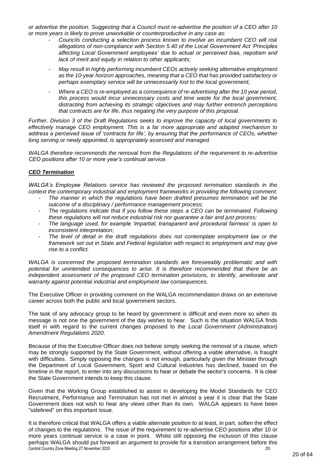*or advertise the position. Suggesting that a Council must re-advertise the position of a CEO after 10 or more years is likely to prove unworkable or counterproductive in any case as:*

- *Councils conducting a selection process known to involve an incumbent CEO will risk allegations of non-compliance with Section 5.40 of the Local Government Act 'Principles affecting Local Government employees' due to actual or perceived bias, nepotism and lack of merit and equity in relation to other applicants;*
- *May result in highly performing incumbent CEOs actively seeking alternative employment as the 10-year horizon approaches, meaning that a CEO that has provided satisfactory or perhaps exemplary service will be unnecessarily lost to the local government;*
- *Where a CEO is re-employed as a consequence of re-advertising after the 10 year period, this process would incur unnecessary costs and time waste for the local government, distracting from achieving its strategic objectives and may further entrench perceptions that contracts are for life, thus negating the very purpose of this proposal.*

*Further, Division 3 of the Draft Regulations seeks to improve the capacity of local governments to effectively manage CEO employment. This is a far more appropriate and adapted mechanism to address a perceived issue of 'contracts for life', by ensuring that the performance of CEOs, whether long serving or newly appointed, is appropriately assessed and managed.*

*WALGA therefore recommends the removal from the Regulations of the requirement to re-advertise CEO positions after 10 or more year's continual service.*

## *CEO Termination*

*WALGA's Employee Relations service has reviewed the proposed termination standards in the context the contemporary industrial and employment frameworks in providing the following comment:*

- *The manner in which the regulations have been drafted presumes termination will be the outcome of a disciplinary / performance management process;*
- *The regulations indicate that if you follow these steps a CEO can be terminated. Following these regulations will not reduce industrial risk nor guarantee a fair and just process;*
- *The language used, for example 'impartial, transparent and procedural fairness' is open to inconsistent interpretation;*
- The level of detail in the draft regulations does not contemplate employment law or the *framework set out in State and Federal legislation with respect to employment and may give rise to a conflict.*

*WALGA is concerned the proposed termination standards are foreseeably problematic and with potential for unintended consequences to arise. It is therefore recommended that there be an independent assessment of the proposed CEO termination provisions, to identify, ameliorate and warranty against potential industrial and employment law consequences.* 

The Executive Officer in providing comment on the WALGA recommendation draws on an extensive career across both the public and local government sectors.

The task of any advocacy group to be heard by government is difficult and even more so when its message is not one the government of the day wishes to hear. Such is the situation WALGA finds itself in with regard to the current changes proposed to the *Local Government (Administration) Amendment Regulations 2020*.

Because of this the Executive Officer does not believe simply seeking the removal of a clause, which may be strongly supported by the State Government, without offering a viable alternative, is fraught with difficulties. Simply opposing the changes is not enough, particularly given the Minister through the Department of Local Government, Sport and Cultural Industries has declined, based on the timeline in the report, to enter into any discussions to hear or debate the sector's concerns. It is clear the State Government intends to keep this clause.

Given that the Working Group established to assist in developing the Model Standards for CEO Recruitment, Performance and Termination has not met in almost a year it is clear that the State Government does not wish to hear any views other than its own. WALGA appears to have been "sidelined" on this important issue.

Central Country Zone Meeting 27 November 2020 20 It is therefore critical that WALGA offers a viable alternate position to at least, in part, soften the effect of changes to the regulations. The issue of the requirement to re-advertise CEO positions after 10 or more years continual service is a case in point. Whilst still opposing the inclusion of this clause perhaps WALGA should put forward an argument to provide for a transition arrangement before this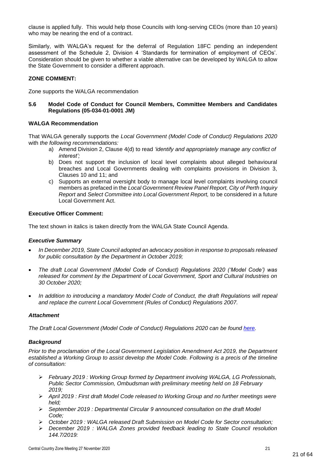clause is applied fully. This would help those Councils with long-serving CEOs (more than 10 years) who may be nearing the end of a contract.

Similarly, with WALGA's request for the deferral of Regulation 18FC pending an independent assessment of the Schedule 2, Division 4 'Standards for termination of employment of CEOs'. Consideration should be given to whether a viable alternative can be developed by WALGA to allow the State Government to consider a different approach.

#### **ZONE COMMENT:**

Zone supports the WALGA recommendation

#### **5.6 Model Code of Conduct for Council Members, Committee Members and Candidates Regulations (05-034-01-0001 JM)**

#### **WALGA Recommendation**

That WALGA generally supports the *Local Government (Model Code of Conduct) Regulations 2020*  with *the following recommendations:* 

- a) Amend Division 2, Clause 4(d) to read *'identify and appropriately manage any conflict of interest';*
- b) Does not support the inclusion of local level complaints about alleged behavioural breaches and Local Governments dealing with complaints provisions in Division 3, Clauses 10 and 11; and
- c) Supports an external oversight body to manage local level complaints involving council members as prefaced in the *Local Government Review Panel Report, City of Perth Inquiry Report* and *Select Committee into Local Government Report,* to be considered in a future Local Government Act.

#### **Executive Officer Comment:**

The text shown in italics is taken directly from the WALGA State Council Agenda.

#### *Executive Summary*

- *In December 2019, State Council adopted an advocacy position in response to proposals released for public consultation by the Department in October 2019;*
- *The draft Local Government (Model Code of Conduct) Regulations 2020 ('Model Code') was released for comment by the Department of Local Government, Sport and Cultural Industries on 30 October 2020;*
- *In addition to introducing a mandatory Model Code of Conduct, the draft Regulations will repeal and replace the current Local Government (Rules of Conduct) Regulations 2007.*

#### *Attachment*

*The Draft Local Government (Model Code of Conduct) Regulations 2020 can be found [here.](https://www.dlgsc.wa.gov.au/local-government/strengthening-local-government/public-consultations/local-government-act-review#regulations2020)* 

#### *Background*

*Prior to the proclamation of the Local Government Legislation Amendment Act 2019, the Department established a Working Group to assist develop the Model Code. Following is a precis of the timeline of consultation:*

- ➢ *February 2019 : Working Group formed by Department involving WALGA, LG Professionals, Public Sector Commission, Ombudsman with preliminary meeting held on 18 February 2019;*
- ➢ *April 2019 : First draft Model Code released to Working Group and no further meetings were held;*
- ➢ *September 2019 : Departmental Circular 9 announced consultation on the draft Model Code;*
- ➢ *October 2019 : WALGA released Draft Submission on Model Code for Sector consultation;*
- ➢ *December 2019 : WALGA Zones provided feedback leading to State Council resolution 144.7/2019:*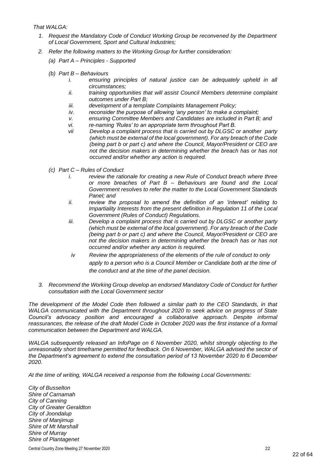*That WALGA:*

- *1. Request the Mandatory Code of Conduct Working Group be reconvened by the Department of Local Government, Sport and Cultural Industries;*
- *2. Refer the following matters to the Working Group for further consideration:*
	- *(a) Part A – Principles - Supported*
	- *(b) Part B – Behaviours*
		- *i. ensuring principles of natural justice can be adequately upheld in all circumstances;*
		- *ii. training opportunities that will assist Council Members determine complaint outcomes under Part B;*
		- *iii. development of a template Complaints Management Policy;*
		- *iv. reconsider the purpose of allowing 'any person' to make a complaint;*
		- *v. ensuring Committee Members and Candidates are included in Part B; and*
		- *vi. re-naming 'Rules' to an appropriate term throughout Part B.*
		- *vii Develop a complaint process that is carried out by DLGSC or another party (which must be external of the local government). For any breach of the Code (being part b or part c) and where the Council, Mayor/President or CEO are not the decision makers in determining whether the breach has or has not occurred and/or whether any action is required.*
	- *(c) Part C – Rules of Conduct*
		- *i. review the rationale for creating a new Rule of Conduct breach where three or more breaches of Part B – Behaviours are found and the Local Government resolves to refer the matter to the Local Government Standards Panel; and*
		- *ii. review the proposal to amend the definition of an 'interest' relating to Impartiality Interests from the present definition in Regulation 11 of the Local Government (Rules of Conduct) Regulations.*
		- *iii. Develop a complaint process that is carried out by DLGSC or another party (which must be external of the local government). For any breach of the Code (being part b or part c) and where the Council, Mayor/President or CEO are not the decision makers in determining whether the breach has or has not occurred and/or whether any action is required.*
		- *iv Review the appropriateness of the elements of the rule of conduct to only apply to a person who is a Council Member or Candidate both at the time of the conduct and at the time of the panel decision.*
- *3. Recommend the Working Group develop an endorsed Mandatory Code of Conduct for further consultation with the Local Government sector*

*The development of the Model Code then followed a similar path to the CEO Standards, in that WALGA communicated with the Department throughout 2020 to seek advice on progress of State Council's advocacy position and encouraged a collaborative approach. Despite informal*  reassurances, the release of the draft Model Code in October 2020 was the first instance of a formal *communication between the Department and WALGA.* 

*WALGA subsequently released an InfoPage on 6 November 2020, whilst strongly objecting to the unreasonably short timeframe permitted for feedback. On 6 November, WALGA advised the sector of the Department's agreement to extend the consultation period of 13 November 2020 to 6 December 2020.* 

*At the time of writing, WALGA received a response from the following Local Governments:*

*City of Busselton Shire of Carnamah City of Canning City of Greater Geraldton City of Joondalup Shire of Manjimup Shire of Mt Marshall Shire of Murray Shire of Plantagenet*

Central Country Zone Meeting 27 November 2020 22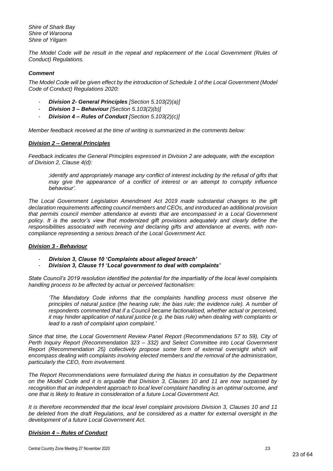*Shire of Shark Bay Shire of Waroona Shire of Yilgarn*

*The Model Code will be result in the repeal and replacement of the Local Government (Rules of Conduct) Regulations.*

#### *Comment*

*The Model Code will be given effect by the introduction of Schedule 1 of the Local Government (Model Code of Conduct) Regulations 2020:*

- *Division 2- General Principles [Section 5.103(2)(a)]*
- *Division 3 – Behaviour [Section 5.103(2)(b)]*
- *Division 4 – Rules of Conduct [Section 5.103(2)(c)]*

*Member feedback received at the time of writing is summarized in the comments below:*

#### *Division 2 – General Principles*

*Feedback indicates the General Principles expressed in Division 2 are adequate, with the exception of Division 2, Clause 4(d):*

*;identify and appropriately manage any conflict of interest including by the refusal of gifts that may give the appearance of a conflict of interest or an attempt to corruptly influence behaviour'.*

*The Local Government Legislation Amendment Act 2019 made substantial changes to the gift declaration requirements affecting council members and CEOs, and introduced an additional provision that permits council member attendance at events that are encompassed in a Local Government policy. It is the sector's view that modernized gift provisions adequately and clearly define the responsibilities associated with receiving and declaring gifts and attendance at events, with noncompliance representing a serious breach of the Local Government Act.*

#### *Division 3 - Behaviour*

- *Division 3, Clause 10 'Complaints about alleged breach'*
- *Division 3, Clause 11 'Local government to deal with complaints'*

*State Council's 2019 resolution identified the potential for the impartiality of the local level complaints handling process to be affected by actual or perceived factionalism:*

*'The Mandatory Code informs that the complaints handling process must observe the principles of natural justice (the hearing rule; the bias rule; the evidence rule). A number of*  respondents commented that if a Council became factionalised, whether actual or perceived, *it may hinder application of natural justice (e.g. the bias rule) when dealing with complaints or lead to a rash of complaint upon complaint.'*

*Since that time, the Local Government Review Panel Report (Recommendations 57 to 59), City of Perth Inquiry Report (Recommendation 323 – 332) and Select Committee into Local Government Report (Recommendation 25) collectively propose some form of external oversight which will*  encompass dealing with complaints involving elected members and the removal of the administration, *particularly the CEO, from involvement.* 

*The Report Recommendations were formulated during the hiatus in consultation by the Department on the Model Code and it is arguable that Division 3, Clauses 10 and 11 are now surpassed by*  recognition that an independent approach to local level complaint handling is an optimal outcome, and *one that is likely to feature in consideration of a future Local Government Act.* 

*It is therefore recommended that the local level complaint provisions Division 3, Clauses 10 and 11*  be deleted from the draft Regulations, and be considered as a matter for external oversight in the *development of a future Local Government Act.* 

#### *Division 4 – Rules of Conduct*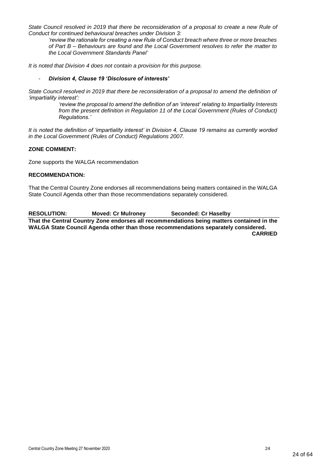State Council resolved in 2019 that there be reconsideration of a proposal to create a new Rule of *Conduct for continued behavioural breaches under Division 3:*

*'review the rationale for creating a new Rule of Conduct breach where three or more breaches of Part B – Behaviours are found and the Local Government resolves to refer the matter to the Local Government Standards Panel'*

*It is noted that Division 4 does not contain a provision for this purpose.*

#### - *Division 4, Clause 19 'Disclosure of interests'*

*State Council resolved in 2019 that there be reconsideration of a proposal to amend the definition of 'impartiality interest':* 

*'review the proposal to amend the definition of an 'interest' relating to Impartiality Interests from the present definition in Regulation 11 of the Local Government (Rules of Conduct) Regulations.'*

*It is noted the definition of 'impartiality interest' in Division 4, Clause 19 remains as currently worded in the Local Government (Rules of Conduct) Regulations 2007.*

#### **ZONE COMMENT:**

Zone supports the WALGA recommendation

#### **RECOMMENDATION:**

That the Central Country Zone endorses all recommendations being matters contained in the WALGA State Council Agenda other than those recommendations separately considered.

**RESOLUTION: Moved: Cr Mulroney Seconded: Cr Haselby That the Central Country Zone endorses all recommendations being matters contained in the WALGA State Council Agenda other than those recommendations separately considered. CARRIED**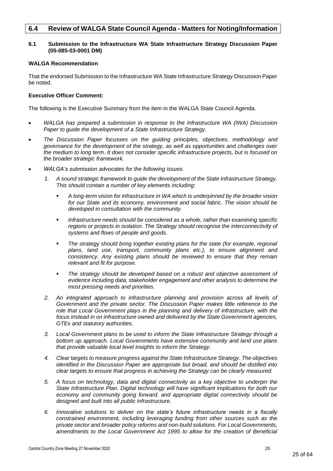# <span id="page-24-0"></span>**6.4 Review of WALGA State Council Agenda - Matters for Noting/Information**

#### **6.1 Submission to the Infrastructure WA State Infrastructure Strategy Discussion Paper (05-085-03-0001 DM)**

#### **WALGA Recommendation**

That the endorsed Submission to the Infrastructure WA State Infrastructure Strategy Discussion Paper be noted.

#### **Executive Officer Comment:**

The following is the Executive Summary from the item in the WALGA State Council Agenda.

- *WALGA has prepared a submission in response to the Infrastructure WA (IWA) Discussion Paper to guide the development of a State Infrastructure Strategy.*
- *The Discussion Paper focusses on the guiding principles, objectives, methodology and governance for the development of the strategy, as well as opportunities and challenges over the medium to long term. It does not consider specific infrastructure projects, but is focused on the broader strategic framework.*
- *WALGA's submission advocates for the following issues.*
	- *1. A sound strategic framework to guide the development of the State Infrastructure Strategy. This should contain a number of key elements including:* 
		- *A long-term vision for infrastructure in WA which is underpinned by the broader vision for our State and its economy, environment and social fabric. The vision should be developed in consultation with the community.*
		- Infrastructure needs should be considered as a whole, rather than examining specific *regions or projects in isolation. The Strategy should recognise the interconnectivity of systems and flows of people and goods.*
		- The strategy should bring together existing plans for the state (for example, regional *plans, land use, transport, community plans etc.), to ensure alignment and consistency. Any existing plans should be reviewed to ensure that they remain relevant and fit for purpose.*
		- The strategy should be developed based on a robust and objective assessment of *evidence including data, stakeholder engagement and other analysis to determine the most pressing needs and priorities.*
	- *2. An integrated approach to infrastructure planning and provision across all levels of Government and the private sector. The Discussion Paper makes little reference to the role that Local Government plays in the planning and delivery of infrastructure, with the focus instead in on infrastructure owned and delivered by the State Government agencies, GTEs and statutory authorities.*
	- *3. Local Government plans to be used to inform the State Infrastructure Strategy through a bottom up approach. Local Governments have extensive community and land use plans that provide valuable local level insights to inform the Strategy.*
	- *4. Clear targets to measure progress against the State Infrastructure Strategy. The objectives identified in the Discussion Paper are appropriate but broad, and should be distilled into clear targets to ensure that progress in achieving the Strategy can be clearly measured.*
	- *5. A focus on technology, data and digital connectivity as a key objective to underpin the State Infrastructure Plan. Digital technology will have significant implications for both our economy and community going forward, and appropriate digital connectivity should be designed and built into all public infrastructure.*
	- *6. Innovative solutions to deliver on the state's future infrastructure needs in a fiscally constrained environment, including leveraging funding from other sources such as the private sector and broader policy reforms and non-build solutions. For Local Governments, amendments to the Local Government Act 1995 to allow for the creation of Beneficial*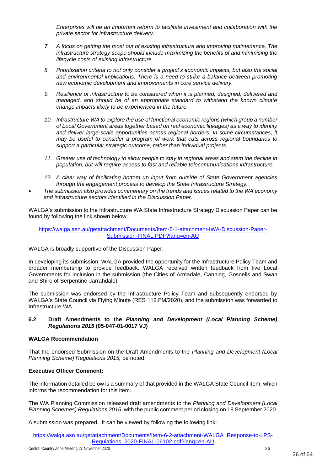*Enterprises will be an important reform to facilitate investment and collaboration with the private sector for infrastructure delivery.*

- *7. A focus on getting the most out of existing infrastructure and improving maintenance. The infrastructure strategy scope should include maximizing the benefits of and minimising the lifecycle costs of existing infrastructure.*
- *8. Prioritisation criteria to not only consider a project's economic impacts, but also the social and environmental implications. There is a need to strike a balance between promoting new economic development and improvements in core service delivery.*
- *9. Resilience of infrastructure to be considered when it is planned, designed, delivered and managed, and should be of an appropriate standard to withstand the known climate change impacts likely to be experienced in the future.*
- *10. Infrastructure WA to explore the use of functional economic regions (which group a number of Local Government areas together based on real economic linkages) as a way to identify and deliver large-scale opportunities across regional borders. In some circumstances, it may be useful to consider a program of work that cuts across regional boundaries to support a particular strategic outcome, rather than individual projects.*
- *11. Greater use of technology to allow people to stay in regional areas and stem the decline in population, but will require access to fast and reliable telecommunications infrastructure.*
- *12. A clear way of facilitating bottom up input from outside of State Government agencies through the engagement process to develop the State Infrastructure Strategy.*
- *The submission also provides commentary on the trends and issues related to the WA economy and infrastructure sectors identified in the Discussion Paper.*

WALGA's submission to the Infrastructure WA State Infrastructure Strategy Discussion Paper can be found by following the link shown below:

[https://walga.asn.au/getattachment/Documents/Item-6-1-attachment-IWA-Discussion-Paper-](https://walga.asn.au/getattachment/Documents/Item-6-1-attachment-IWA-Discussion-Paper-Submission-FINAL.PDF?lang=en-AU)[Submission-FINAL.PDF?lang=en-AU](https://walga.asn.au/getattachment/Documents/Item-6-1-attachment-IWA-Discussion-Paper-Submission-FINAL.PDF?lang=en-AU)

WALGA is broadly supportive of the Discussion Paper.

In developing its submission, WALGA provided the opportunity for the Infrastructure Policy Team and broader membership to provide feedback. WALGA received written feedback from five Local Governments for inclusion in the submission (the Cities of Armadale, Canning, Gosnells and Swan and Shire of Serpentine-Jarrahdale).

The submission was endorsed by the Infrastructure Policy Team and subsequently endorsed by WALGA's State Council via Flying Minute (RES 112.FM/2020), and the submission was forwarded to Infrastructure WA.

#### **6.2 Draft Amendments to the** *Planning and Development (Local Planning Scheme) Regulations 2015* **(05-047-01-0017 VJ)**

#### **WALGA Recommendation**

That the endorsed Submission on the Draft Amendments to the *Planning and Development (Local Planning Scheme) Regulations 2015,* be noted.

#### **Executive Officer Comment:**

The information detailed below is a summary of that provided in the WALGA State Council item, which informs the recommendation for this item.

The WA Planning Commission released draft amendments to the *Planning and Development (Local Planning Schemes) Regulations 2015*, with the public comment period closing on 18 September 2020.

A submission was prepared. It can be viewed by following the following link:

[https://walga.asn.au/getattachment/Documents/Item-6-2-attachment-WALGA\\_Response-to-LPS-](https://walga.asn.au/getattachment/Documents/Item-6-2-attachment-WALGA_Response-to-LPS-Regulations_2020-FINAL-06102.pdf?lang=en-AU)[Regulations\\_2020-FINAL-06102.pdf?lang=en-AU](https://walga.asn.au/getattachment/Documents/Item-6-2-attachment-WALGA_Response-to-LPS-Regulations_2020-FINAL-06102.pdf?lang=en-AU)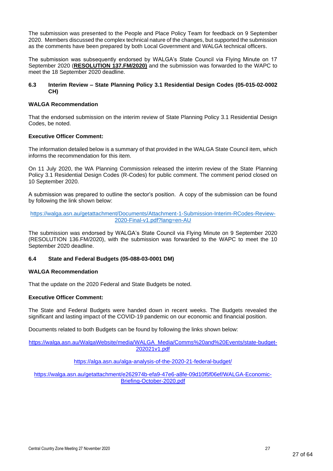The submission was presented to the People and Place Policy Team for feedback on 9 September 2020. Members discussed the complex technical nature of the changes, but supported the submission as the comments have been prepared by both Local Government and WALGA technical officers.

The submission was subsequently endorsed by WALGA's State Council via Flying Minute on 17 September 2020 (**RESOLUTION 137.FM/2020)** and the submission was forwarded to the WAPC to meet the 18 September 2020 deadline.

#### **6.3 Interim Review – State Planning Policy 3.1 Residential Design Codes (05-015-02-0002 CH)**

#### **WALGA Recommendation**

That the endorsed submission on the interim review of State Planning Policy 3.1 Residential Design Codes, be noted.

#### **Executive Officer Comment:**

The information detailed below is a summary of that provided in the WALGA State Council item, which informs the recommendation for this item.

On 11 July 2020, the WA Planning Commission released the interim review of the State Planning Policy 3.1 Residential Design Codes (R-Codes) for public comment. The comment period closed on 10 September 2020.

A submission was prepared to outline the sector's position. A copy of the submission can be found by following the link shown below:

[https://walga.asn.au/getattachment/Documents/Attachment-1-Submission-Interim-RCodes-Review-](https://walga.asn.au/getattachment/Documents/Attachment-1-Submission-Interim-RCodes-Review-2020-Final-v1.pdf?lang=en-AU)[2020-Final-v1.pdf?lang=en-AU](https://walga.asn.au/getattachment/Documents/Attachment-1-Submission-Interim-RCodes-Review-2020-Final-v1.pdf?lang=en-AU)

The submission was endorsed by WALGA's State Council via Flying Minute on 9 September 2020 (RESOLUTION 136.FM/2020), with the submission was forwarded to the WAPC to meet the 10 September 2020 deadline.

#### **6.4 State and Federal Budgets (05-088-03-0001 DM)**

#### **WALGA Recommendation**

That the update on the 2020 Federal and State Budgets be noted.

#### **Executive Officer Comment:**

The State and Federal Budgets were handed down in recent weeks. The Budgets revealed the significant and lasting impact of the COVID-19 pandemic on our economic and financial position.

Documents related to both Budgets can be found by following the links shown below:

[https://walga.asn.au/WalgaWebsite/media/WALGA\\_Media/Comms%20and%20Events/state-budget-](https://walga.asn.au/WalgaWebsite/media/WALGA_Media/Comms%20and%20Events/state-budget-202021v1.pdf)[202021v1.pdf](https://walga.asn.au/WalgaWebsite/media/WALGA_Media/Comms%20and%20Events/state-budget-202021v1.pdf)

#### <https://alga.asn.au/alga-analysis-of-the-2020-21-federal-budget/>

[https://walga.asn.au/getattachment/e262974b-efa9-47e6-a8fe-09d10f5f06ef/WALGA-Economic-](https://walga.asn.au/getattachment/e262974b-efa9-47e6-a8fe-09d10f5f06ef/WALGA-Economic-Briefing-October-2020.pdf)[Briefing-October-2020.pdf](https://walga.asn.au/getattachment/e262974b-efa9-47e6-a8fe-09d10f5f06ef/WALGA-Economic-Briefing-October-2020.pdf)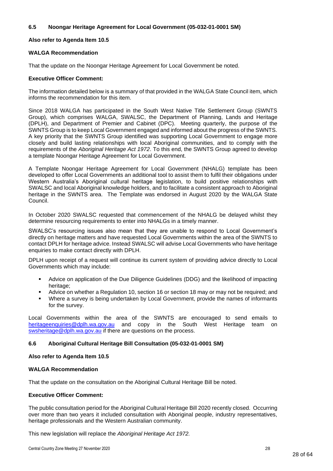#### **6.5 Noongar Heritage Agreement for Local Government (05-032-01-0001 SM)**

#### **Also refer to Agenda Item 10.5**

#### **WALGA Recommendation**

That the update on the Noongar Heritage Agreement for Local Government be noted.

#### **Executive Officer Comment:**

The information detailed below is a summary of that provided in the WALGA State Council item, which informs the recommendation for this item.

Since 2018 WALGA has participated in the South West Native Title Settlement Group (SWNTS Group), which comprises WALGA, SWALSC, the Department of Planning, Lands and Heritage (DPLH), and Department of Premier and Cabinet (DPC). Meeting quarterly, the purpose of the SWNTS Group is to keep Local Government engaged and informed about the progress of the SWNTS. A key priority that the SWNTS Group identified was supporting Local Government to engage more closely and build lasting relationships with local Aboriginal communities, and to comply with the requirements of the *Aboriginal Heritage Act 1972*. To this end, the SWNTS Group agreed to develop a template Noongar Heritage Agreement for Local Government.

A Template Noongar Heritage Agreement for Local Government (NHALG) template has been developed to offer Local Governments an additional tool to assist them to fulfil their obligations under Western Australia's Aboriginal cultural heritage legislation, to build positive relationships with SWALSC and local Aboriginal knowledge holders, and to facilitate a consistent approach to Aboriginal heritage in the SWNTS area. The Template was endorsed in August 2020 by the WALGA State Council.

In October 2020 SWALSC requested that commencement of the NHALG be delayed whilst they determine resourcing requirements to enter into NHALGs in a timely manner.

SWALSC's resourcing issues also mean that they are unable to respond to Local Government's directly on heritage matters and have requested Local Governments within the area of the SWNTS to contact DPLH for heritage advice. Instead SWALSC will advise Local Governments who have heritage enquiries to make contact directly with DPLH.

DPLH upon receipt of a request will continue its current system of providing advice directly to Local Governments which may include:

- Advice on application of the Due Diligence Guidelines (DDG) and the likelihood of impacting heritage:
- Advice on whether a Regulation 10, section 16 or section 18 may or may not be required; and
- Where a survey is being undertaken by Local Government, provide the names of informants for the survey.

Local Governments within the area of the SWNTS are encouraged to send emails to [heritageenquiries@dplh.wa.gov.au](mailto:heritageenquiries@dplh.wa.gov.au) and copy in the South West Heritage team on [swsheritage@dplh.wa.gov.au](mailto:swsheritage@dplh.wa.gov.au) if there are questions on the process.

#### **6.6 Aboriginal Cultural Heritage Bill Consultation (05-032-01-0001 SM)**

#### **Also refer to Agenda Item 10.5**

#### **WALGA Recommendation**

That the update on the consultation on the Aboriginal Cultural Heritage Bill be noted.

#### **Executive Officer Comment:**

The public consultation period for the Aboriginal Cultural Heritage Bill 2020 recently closed. Occurring over more than two years it included consultation with Aboriginal people, industry representatives, heritage professionals and the Western Australian community.

This new legislation will replace the *Aboriginal Heritage Act 1972.*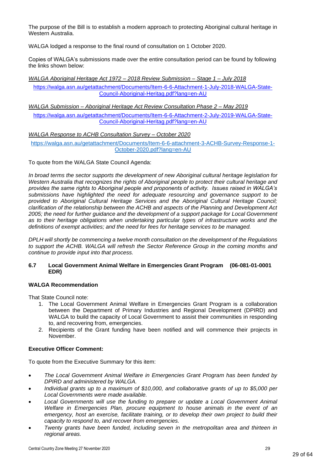The purpose of the Bill is to establish a modern approach to protecting Aboriginal cultural heritage in Western Australia.

WALGA lodged a response to the final round of consultation on 1 October 2020.

Copies of WALGA's submissions made over the entire consultation period can be found by following the links shown below:

*WALGA Aboriginal Heritage Act 1972 – 2018 Review Submission – Stage 1 – July 2018*

[https://walga.asn.au/getattachment/Documents/Item-6-6-Attachment-1-July-2018-WALGA-State-](https://walga.asn.au/getattachment/Documents/Item-6-6-Attachment-1-July-2018-WALGA-State-Council-Aboriginal-Heritag.pdf?lang=en-AU)[Council-Aboriginal-Heritag.pdf?lang=en-AU](https://walga.asn.au/getattachment/Documents/Item-6-6-Attachment-1-July-2018-WALGA-State-Council-Aboriginal-Heritag.pdf?lang=en-AU)

*WALGA Submission – Aboriginal Heritage Act Review Consultation Phase 2 – May 2019* [https://walga.asn.au/getattachment/Documents/Item-6-6-Attachment-2-July-2019-WALGA-State-](https://walga.asn.au/getattachment/Documents/Item-6-6-Attachment-2-July-2019-WALGA-State-Council-Aboriginal-Heritag.pdf?lang=en-AU)[Council-Aboriginal-Heritag.pdf?lang=en-AU](https://walga.asn.au/getattachment/Documents/Item-6-6-Attachment-2-July-2019-WALGA-State-Council-Aboriginal-Heritag.pdf?lang=en-AU)

*WALGA Response to ACHB Consultation Survey – October 2020*

[https://walga.asn.au/getattachment/Documents/Item-6-6-attachment-3-ACHB-Survey-Response-1-](https://walga.asn.au/getattachment/Documents/Item-6-6-attachment-3-ACHB-Survey-Response-1-October-2020.pdf?lang=en-AU) [October-2020.pdf?lang=en-AU](https://walga.asn.au/getattachment/Documents/Item-6-6-attachment-3-ACHB-Survey-Response-1-October-2020.pdf?lang=en-AU)

To quote from the WALGA State Council Agenda:

*In broad terms the sector supports the development of new Aboriginal cultural heritage legislation for Western Australia that recognizes the rights of Aboriginal people to protect their cultural heritage and provides the same rights to Aboriginal people and proponents of activity. Issues raised in WALGA's submissions have highlighted the need for adequate resourcing and governance support to be provided to Aboriginal Cultural Heritage Services and the Aboriginal Cultural Heritage Council; clarification of the relationship between the ACHB and aspects of the Planning and Development Act 2005; the need for further guidance and the development of a support package for Local Government as to their heritage obligations when undertaking particular types of infrastructure works and the definitions of exempt activities; and the need for fees for heritage services to be managed.*

*DPLH will shortly be commencing a twelve month consultation on the development of the Regulations*  to support the ACHB. WALGA will refresh the Sector Reference Group in the coming months and *continue to provide input into that process.* 

#### **6.7 Local Government Animal Welfare in Emergencies Grant Program (06-081-01-0001 EDR)**

#### **WALGA Recommendation**

That State Council note:

- 1. The Local Government Animal Welfare in Emergencies Grant Program is a collaboration between the Department of Primary Industries and Regional Development (DPIRD) and WALGA to build the capacity of Local Government to assist their communities in responding to, and recovering from, emergencies.
- 2. Recipients of the Grant funding have been notified and will commence their projects in November.

#### **Executive Officer Comment:**

To quote from the Executive Summary for this item:

- *The Local Government Animal Welfare in Emergencies Grant Program has been funded by DPIRD and administered by WALGA.*
- *Individual grants up to a maximum of \$10,000, and collaborative grants of up to \$5,000 per Local Governments were made available.*
- *Local Governments will use the funding to prepare or update a Local Government Animal Welfare in Emergencies Plan, procure equipment to house animals in the event of an emergency, host an exercise, facilitate training, or to develop their own project to build their capacity to respond to, and recover from emergencies.*
- *Twenty grants have been funded, including seven in the metropolitan area and thirteen in regional areas.*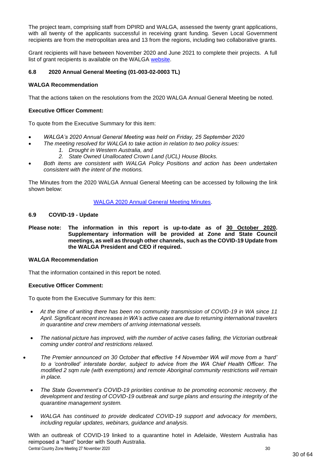The project team, comprising staff from DPIRD and WALGA, assessed the twenty grant applications, with all twenty of the applicants successful in receiving grant funding. Seven Local Government recipients are from the metropolitan area and 13 from the regions, including two collaborative grants.

Grant recipients will have between November 2020 and June 2021 to complete their projects. A full list of grant recipients is available on the WALGA [website.](https://walga.asn.au/Policy-Advice-and-Advocacy/Emergency-Management/Animal-Welfare-in-Emergencies-Grant-Program)

#### **6.8 2020 Annual General Meeting (01-003-02-0003 TL)**

#### **WALGA Recommendation**

That the actions taken on the resolutions from the 2020 WALGA Annual General Meeting be noted.

#### **Executive Officer Comment:**

To quote from the Executive Summary for this item:

- *WALGA's 2020 Annual General Meeting was held on Friday, 25 September 2020*
	- *The meeting resolved for WALGA to take action in relation to two policy issues:*
		- *1. Drought in Western Australia, and*
		- *2. State Owned Unallocated Crown Land (UCL) House Blocks.*
- *Both items are consistent with WALGA Policy Positions and action has been undertaken consistent with the intent of the motions.*

The Minutes from the 2020 WALGA Annual General Meeting can be accessed by following the link shown below:

#### [WALGA 2020 Annual General Meeting Minutes.](https://walga.asn.au/getattachment/56eafb04-63b1-40d4-aaba-ba3760f5effe/Minutes-AGM-2020.pdf)

#### **6.9 COVID-19 - Update**

**Please note: The information in this report is up-to-date as of 30 October 2020. Supplementary information will be provided at Zone and State Council meetings, as well as through other channels, such as the COVID-19 Update from the WALGA President and CEO if required.**

#### **WALGA Recommendation**

That the information contained in this report be noted.

#### **Executive Officer Comment:**

To quote from the Executive Summary for this item:

- *At the time of writing there has been no community transmission of COVID-19 in WA since 11 April. Significant recent increases in WA's active cases are due to returning international travelers in quarantine and crew members of arriving international vessels.*
- *The national picture has improved, with the number of active cases falling, the Victorian outbreak coming under control and restrictions relaxed.*
- *The Premier announced on 30 October that effective 14 November WA will move from a 'hard' to a 'controlled' interstate border, subject to advice from the WA Chief Health Officer. The modified 2 sqm rule (with exemptions) and remote Aboriginal community restrictions will remain in place.*
	- *The State Government's COVID-19 priorities continue to be promoting economic recovery, the development and testing of COVID-19 outbreak and surge plans and ensuring the integrity of the quarantine management system.*
	- *WALGA has continued to provide dedicated COVID-19 support and advocacy for members, including regular updates, webinars, guidance and analysis.*

Central Country Zone Meeting 27 November 2020 30 With an outbreak of COVID-19 linked to a quarantine hotel in Adelaide, Western Australia has reimposed a "hard" border with South Australia.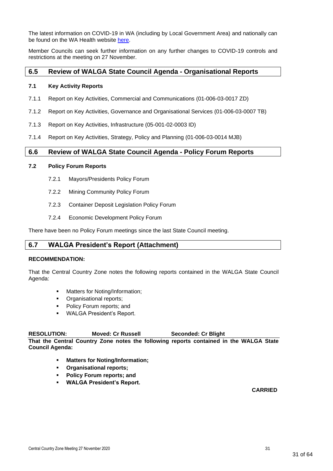The latest information on COVID-19 in WA (including by Local Government Area) and nationally can be found on the WA Health website [here.](https://experience.arcgis.com/experience/359bca83a1264e3fb8d3b6f0a028d768)

Member Councils can seek further information on any further changes to COVID-19 controls and restrictions at the meeting on 27 November.

## <span id="page-30-0"></span>**6.5 Review of WALGA State Council Agenda - Organisational Reports**

#### **7.1 Key Activity Reports**

- 7.1.1 Report on Key Activities, Commercial and Communications (01-006-03-0017 ZD)
- 7.1.2 Report on Key Activities, Governance and Organisational Services (01-006-03-0007 TB)
- 7.1.3 Report on Key Activities, Infrastructure (05-001-02-0003 ID)
- 7.1.4 Report on Key Activities, Strategy, Policy and Planning (01-006-03-0014 MJB)

## <span id="page-30-1"></span>**6.6 Review of WALGA State Council Agenda - Policy Forum Reports**

#### **7.2 Policy Forum Reports**

- 7.2.1 Mayors/Presidents Policy Forum
- 7.2.2 Mining Community Policy Forum
- 7.2.3 Container Deposit Legislation Policy Forum
- 7.2.4 Economic Development Policy Forum

There have been no Policy Forum meetings since the last State Council meeting.

## <span id="page-30-2"></span>**6.7 WALGA President's Report (Attachment)**

#### **RECOMMENDATION:**

That the Central Country Zone notes the following reports contained in the WALGA State Council Agenda:

- Matters for Noting/Information:
- Organisational reports;
- Policy Forum reports; and
- WALGA President's Report.

## **RESOLUTION: Moved: Cr Russell Seconded: Cr Blight**

**That the Central Country Zone notes the following reports contained in the WALGA State Council Agenda:**

- **Matters for Noting/Information;**
- **Organisational reports;**
- **Policy Forum reports; and**
- **WALGA President's Report.**

**CARRIED**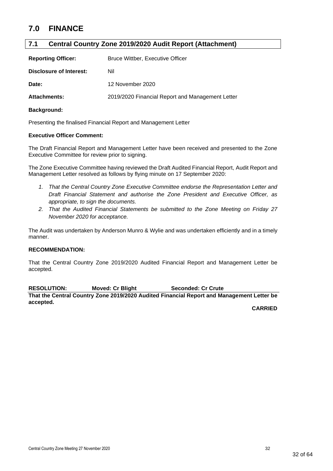# <span id="page-31-0"></span>**7.0 FINANCE**

# <span id="page-31-1"></span>**7.1 Central Country Zone 2019/2020 Audit Report (Attachment)**

| <b>Reporting Officer:</b> | <b>Bruce Wittber, Executive Officer</b>          |
|---------------------------|--------------------------------------------------|
| Disclosure of Interest:   | Nil                                              |
| Date:                     | 12 November 2020                                 |
| Attachments:              | 2019/2020 Financial Report and Management Letter |

#### **Background:**

Presenting the finalised Financial Report and Management Letter

#### **Executive Officer Comment:**

The Draft Financial Report and Management Letter have been received and presented to the Zone Executive Committee for review prior to signing.

The Zone Executive Committee having reviewed the Draft Audited Financial Report, Audit Report and Management Letter resolved as follows by flying minute on 17 September 2020:

- *1. That the Central Country Zone Executive Committee endorse the Representation Letter and Draft Financial Statement and authorise the Zone President and Executive Officer, as appropriate, to sign the documents.*
- *2. That the Audited Financial Statements be submitted to the Zone Meeting on Friday 27 November 2020 for acceptance.*

The Audit was undertaken by Anderson Munro & Wylie and was undertaken efficiently and in a timely manner.

#### **RECOMMENDATION:**

That the Central Country Zone 2019/2020 Audited Financial Report and Management Letter be accepted.

**RESOLUTION: Moved: Cr Blight Seconded: Cr Crute That the Central Country Zone 2019/2020 Audited Financial Report and Management Letter be accepted.**

**CARRIED**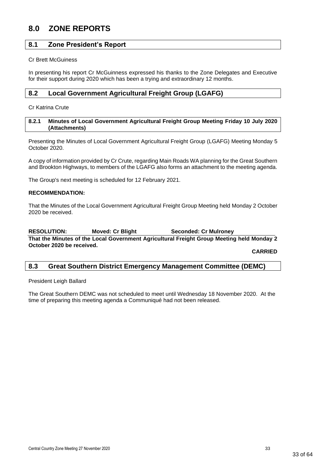# <span id="page-32-0"></span>**8.0 ZONE REPORTS**

# <span id="page-32-1"></span>**8.1 Zone President's Report**

Cr Brett McGuiness

In presenting his report Cr McGuinness expressed his thanks to the Zone Delegates and Executive for their support during 2020 which has been a trying and extraordinary 12 months.

## <span id="page-32-2"></span>**8.2 Local Government Agricultural Freight Group (LGAFG)**

Cr Katrina Crute

#### <span id="page-32-3"></span>**8.2.1 Minutes of Local Government Agricultural Freight Group Meeting Friday 10 July 2020 (Attachments)**

Presenting the Minutes of Local Government Agricultural Freight Group (LGAFG) Meeting Monday 5 October 2020.

A copy of information provided by Cr Crute, regarding Main Roads WA planning for the Great Southern and Brookton Highways, to members of the LGAFG also forms an attachment to the meeting agenda.

The Group's next meeting is scheduled for 12 February 2021.

#### **RECOMMENDATION:**

That the Minutes of the Local Government Agricultural Freight Group Meeting held Monday 2 October 2020 be received.

**RESOLUTION: Moved: Cr Blight Seconded: Cr Mulroney That the Minutes of the Local Government Agricultural Freight Group Meeting held Monday 2 October 2020 be received.**

**CARRIED**

## <span id="page-32-4"></span>**8.3 Great Southern District Emergency Management Committee (DEMC)**

President Leigh Ballard

The Great Southern DEMC was not scheduled to meet until Wednesday 18 November 2020. At the time of preparing this meeting agenda a Communiqué had not been released.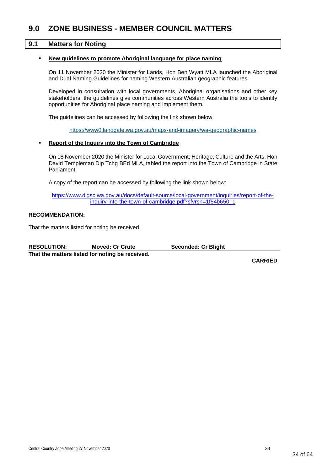# <span id="page-33-0"></span>**9.0 ZONE BUSINESS - MEMBER COUNCIL MATTERS**

#### <span id="page-33-1"></span>**9.1 Matters for Noting**

#### **New guidelines to promote Aboriginal language for place naming**

On 11 November 2020 the Minister for Lands, Hon Ben Wyatt MLA launched the Aboriginal and Dual Naming Guidelines for naming Western Australian geographic features.

Developed in consultation with local governments, Aboriginal organisations and other key stakeholders, the guidelines give communities across Western Australia the tools to identify opportunities for Aboriginal place naming and implement them.

The guidelines can be accessed by following the link shown below:

<https://www0.landgate.wa.gov.au/maps-and-imagery/wa-geographic-names>

#### **Report of the Inquiry into the Town of Cambridge**

On 18 November 2020 the Minister for Local Government; Heritage; Culture and the Arts, Hon David Templeman Dip Tchg BEd MLA, tabled the report into the Town of Cambridge in State Parliament.

A copy of the report can be accessed by following the link shown below:

[https://www.dlgsc.wa.gov.au/docs/default-source/local-government/inquiries/report-of-the](https://www.dlgsc.wa.gov.au/docs/default-source/local-government/inquiries/report-of-the-inquiry-into-the-town-of-cambridge.pdf?sfvrsn=1f54b650_1)[inquiry-into-the-town-of-cambridge.pdf?sfvrsn=1f54b650\\_1](https://www.dlgsc.wa.gov.au/docs/default-source/local-government/inquiries/report-of-the-inquiry-into-the-town-of-cambridge.pdf?sfvrsn=1f54b650_1)

#### **RECOMMENDATION:**

That the matters listed for noting be received.

| <b>RESOLUTION:</b>                              | <b>Moved: Cr Crute</b> | <b>Seconded: Cr Blight</b> |
|-------------------------------------------------|------------------------|----------------------------|
| That the matters listed for noting be received. |                        |                            |

**CARRIED**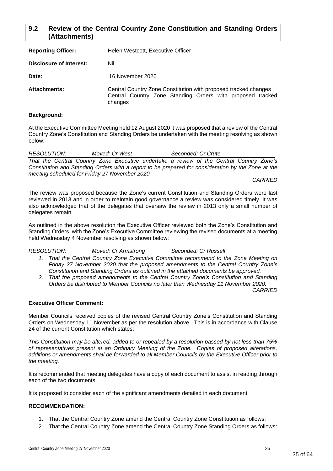# <span id="page-34-0"></span>**9.2 Review of the Central Country Zone Constitution and Standing Orders (Attachments)**

| <b>Reporting Officer:</b> | Helen Westcott, Executive Officer                                                                                                        |
|---------------------------|------------------------------------------------------------------------------------------------------------------------------------------|
| Disclosure of Interest:   | Nil                                                                                                                                      |
| Date:                     | 16 November 2020                                                                                                                         |
| <b>Attachments:</b>       | Central Country Zone Constitution with proposed tracked changes<br>Central Country Zone Standing Orders with proposed tracked<br>changes |

#### **Background:**

At the Executive Committee Meeting held 12 August 2020 it was proposed that a review of the Central Country Zone's Constitution and Standing Orders be undertaken with the meeting resolving as shown below:

*RESOLUTION: Moved: Cr West Seconded: Cr Crute That the Central Country Zone Executive undertake a review of the Central Country Zone's Constitution and Standing Orders with a report to be prepared for consideration by the Zone at the meeting scheduled for Friday 27 November 2020.*

#### *CARRIED*

The review was proposed because the Zone's current Constitution and Standing Orders were last reviewed in 2013 and in order to maintain good governance a review was considered timely. It was also acknowledged that of the delegates that oversaw the review in 2013 only a small number of delegates remain.

As outlined in the above resolution the Executive Officer reviewed both the Zone's Constitution and Standing Orders, with the Zone's Executive Committee reviewing the revised documents at a meeting held Wednesday 4 November resolving as shown below:

*RESOLUTION: Moved: Cr Armstrong Seconded: Cr Russell*

- *1. That the Central Country Zone Executive Committee recommend to the Zone Meeting on Friday 27 November 2020 that the proposed amendments to the Central Country Zone's Constitution and Standing Orders as outlined in the attached documents be approved.*
- *2. That the proposed amendments to the Central Country Zone's Constitution and Standing Orders be distributed to Member Councils no later than Wednesday 11 November 2020.*

#### *CARRIED*

#### **Executive Officer Comment:**

Member Councils received copies of the revised Central Country Zone's Constitution and Standing Orders on Wednesday 11 November as per the resolution above. This is in accordance with Clause 24 of the current Constitution which states:

*This Constitution may be altered, added to or repealed by a resolution passed by not less than 75% of representatives present at an Ordinary Meeting of the Zone. Copies of proposed alterations, additions or amendments shall be forwarded to all Member Councils by the Executive Officer prior to the meeting.*

It is recommended that meeting delegates have a copy of each document to assist in reading through each of the two documents.

It is proposed to consider each of the significant amendments detailed in each document.

# **RECOMMENDATION:**

- 1. That the Central Country Zone amend the Central Country Zone Constitution as follows:
- 2. That the Central Country Zone amend the Central Country Zone Standing Orders as follows: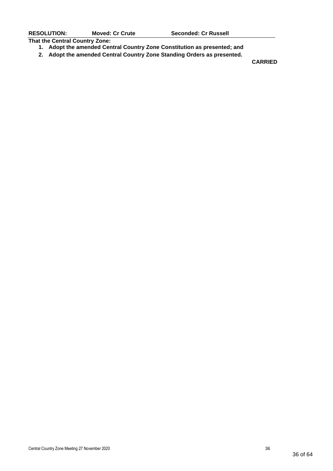**That the Central Country Zone:**

- **1. Adopt the amended Central Country Zone Constitution as presented; and**
- **2. Adopt the amended Central Country Zone Standing Orders as presented.**

**CARRIED**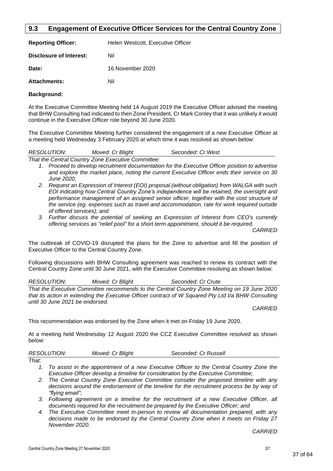# <span id="page-36-0"></span>**9.3 Engagement of Executive Officer Services for the Central Country Zone**

| <b>Reporting Officer:</b> | Helen Westcott, Executive Officer |
|---------------------------|-----------------------------------|
| Disclosure of Interest:   | Nil                               |
| Date:                     | 16 November 2020                  |
| <b>Attachments:</b>       |                                   |

#### **Background:**

At the Executive Committee Meeting held 14 August 2019 the Executive Officer advised the meeting that BHW Consulting had indicated to then Zone President, Cr Mark Conley that it was unlikely it would continue in the Executive Officer role beyond 30 June 2020.

The Executive Committee Meeting further considered the engagement of a new Executive Officer at a meeting held Wednesday 3 February 2020 at which time it was resolved as shown below:

|                    | $\tau_{best}$ the Original Origins $\tau_{best}$ $\tau_{best}$ . The results of Original theory |                   |  |
|--------------------|-------------------------------------------------------------------------------------------------|-------------------|--|
| <b>RESOLUTION:</b> | Moved: Cr Blight                                                                                | Seconded: Cr West |  |

*That the Central Country Zone Executive Committee:*

- *1. Proceed to develop recruitment documentation for the Executive Officer position to advertise and explore the market place, noting the current Executive Officer ends their service on 30 June 2020;*
- *2. Request an Expression of Interest (EOI) proposal (without obligation) from WALGA with such EOI indicating how Central Country Zone's independence will be retained, the oversight and*  performance management of an assigned senior officer, together with the cost structure of *the service (eg. expenses such as travel and accommodation, rate for work required outside of offered services); and*
- *3. Further discuss the potential of seeking an Expression of Interest from CEO's currently offering services as "relief pool" for a short term appointment, should it be required.*

*CARRIED*

The outbreak of COVID-19 disrupted the plans for the Zone to advertise and fill the position of Executive Officer to the Central Country Zone.

Following discussions with BHW Consulting agreement was reached to renew its contract with the Central Country Zone until 30 June 2021, with the Executive Committee resolving as shown below:

*RESOLUTION: Moved: Cr Blight Seconded: Cr Crute*

*That the Executive Committee recommends to the Central Country Zone Meeting on 19 June 2020 that its action in extending the Executive Officer contract of W Squared Pty Ltd t/a BHW Consulting until 30 June 2021 be endorsed.*

*CARRIED*

This recommendation was endorsed by the Zone when it met on Friday 19 June 2020.

At a meeting held Wednesday 12 August 2020 the CCZ Executive Committee resolved as shown below:

| <b>RESOLUTION:</b> | Moved: Cr Blight | Seconded: Cr Russell |  |
|--------------------|------------------|----------------------|--|
|                    |                  |                      |  |

- *That:*
	- *1. To assist in the appointment of a new Executive Officer to the Central Country Zone the Executive Officer develop a timeline for consideration by the Executive Committee;*
	- *2. The Central Country Zone Executive Committee consider the proposed timeline with any decisions around the endorsement of the timeline for the recruitment process be by way of "flying email";*
	- *3. Following agreement on a timeline for the recruitment of a new Executive Officer, all documents required for the recruitment be prepared by the Executive Officer; and*
	- *4. The Executive Committee meet in-person to review all documentation prepared, with any decisions made to be endorsed by the Central Country Zone when it meets on Friday 27 November 2020.*

*CARRIED*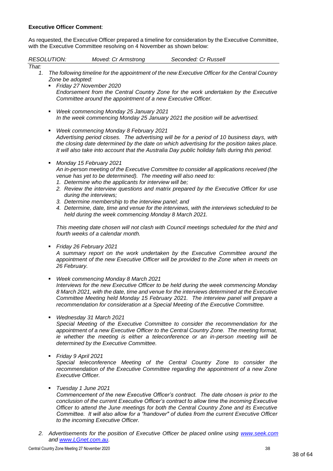#### **Executive Officer Comment**:

As requested, the Executive Officer prepared a timeline for consideration by the Executive Committee, with the Executive Committee resolving on 4 November as shown below:

|             | <b>RESOLUTION:</b>                                    | Moved: Cr Armstrong                                                                                                                                                                                                                                                                           | Seconded: Cr Russell                                                                                                                                                                                                                                                                                                                                           |
|-------------|-------------------------------------------------------|-----------------------------------------------------------------------------------------------------------------------------------------------------------------------------------------------------------------------------------------------------------------------------------------------|----------------------------------------------------------------------------------------------------------------------------------------------------------------------------------------------------------------------------------------------------------------------------------------------------------------------------------------------------------------|
| That:<br>1. | Zone be adopted:                                      | Friday 27 November 2020<br>Committee around the appointment of a new Executive Officer.                                                                                                                                                                                                       | The following timeline for the appointment of the new Executive Officer for the Central Country<br>Endorsement from the Central Country Zone for the work undertaken by the Executive                                                                                                                                                                          |
|             | ٠                                                     | Week commencing Monday 25 January 2021                                                                                                                                                                                                                                                        | In the week commencing Monday 25 January 2021 the position will be advertised.                                                                                                                                                                                                                                                                                 |
|             | ٠                                                     | Week commencing Monday 8 February 2021                                                                                                                                                                                                                                                        | Advertising period closes. The advertising will be for a period of 10 business days, with<br>the closing date determined by the date on which advertising for the position takes place.<br>It will also take into account that the Australia Day public holiday falls during this period.                                                                      |
|             |                                                       | Monday 15 February 2021<br>venue has yet to be determined). The meeting will also need to:<br>1. Determine who the applicants for interview will be;<br>during the interviews;<br>3. Determine membership to the interview panel; and<br>held during the week commencing Monday 8 March 2021. | An in-person meeting of the Executive Committee to consider all applications received (the<br>2. Review the interview questions and matrix prepared by the Executive Officer for use<br>4. Determine, date, time and venue for the interviews, with the interviews scheduled to be                                                                             |
|             |                                                       | fourth weeks of a calendar month.                                                                                                                                                                                                                                                             | This meeting date chosen will not clash with Council meetings scheduled for the third and                                                                                                                                                                                                                                                                      |
|             | Friday 26 February 2021<br>٠<br>26 February.          |                                                                                                                                                                                                                                                                                               | A summary report on the work undertaken by the Executive Committee around the<br>appointment of the new Executive Officer will be provided to the Zone when in meets on                                                                                                                                                                                        |
|             | ٠                                                     | Week commencing Monday 8 March 2021                                                                                                                                                                                                                                                           | Interviews for the new Executive Officer to be held during the week commencing Monday<br>8 March 2021, with the date, time and venue for the interviews determined at the Executive<br>Committee Meeting held Monday 15 February 2021. The interview panel will prepare a<br>recommendation for consideration at a Special Meeting of the Executive Committee. |
|             |                                                       | Wednesday 31 March 2021<br>determined by the Executive Committee.                                                                                                                                                                                                                             | Special Meeting of the Executive Committee to consider the recommendation for the<br>appointment of a new Executive Officer to the Central Country Zone. The meeting format,<br>ie whether the meeting is either a teleconference or an in-person meeting will be                                                                                              |
|             | Friday 9 April 2021<br>٠<br><b>Executive Officer.</b> |                                                                                                                                                                                                                                                                                               | Special teleconference Meeting of the Central Country Zone to consider the<br>recommendation of the Executive Committee regarding the appointment of a new Zone                                                                                                                                                                                                |
|             | Tuesday 1 June 2021                                   |                                                                                                                                                                                                                                                                                               |                                                                                                                                                                                                                                                                                                                                                                |

*Commencement of the new Executive Officer's contract. The date chosen is prior to the conclusion of the current Executive Officer's contract to allow time the incoming Executive Officer to attend the June meetings for both the Central Country Zone and its Executive Committee. It will also allow for a "handover" of duties from the current Executive Officer to the incoming Executive Officer.*

*2. Advertisements for the position of Executive Officer be placed online using [www.seek.com](http://www.seek.com/) and [www.LGnet.com.au.](http://www.lgnet.com.au/)*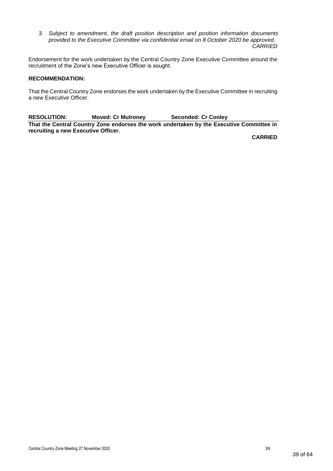*3. Subject to amendment, the draft position description and position information documents provided to the Executive Committee via confidential email on 8 October 2020 be approved. CARRIED*

Endorsement for the work undertaken by the Central Country Zone Executive Committee around the recruitment of the Zone's new Executive Officer is sought.

#### **RECOMMENDATION:**

That the Central Country Zone endorses the work undertaken by the Executive Committee in recruiting a new Executive Officer.

**RESOLUTION: Moved: Cr Mulroney Seconded: Cr Conley That the Central Country Zone endorses the work undertaken by the Executive Committee in recruiting a new Executive Officer.**

**CARRIED**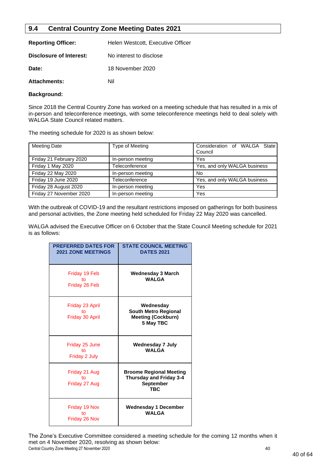# <span id="page-39-0"></span>**9.4 Central Country Zone Meeting Dates 2021**

| <b>Reporting Officer:</b> | Helen Westcott, Executive Officer |
|---------------------------|-----------------------------------|
| Disclosure of Interest:   | No interest to disclose           |
| Date:                     | 18 November 2020                  |
| <b>Attachments:</b>       | Nil                               |

#### **Background:**

Since 2018 the Central Country Zone has worked on a meeting schedule that has resulted in a mix of in-person and teleconference meetings, with some teleconference meetings held to deal solely with WALGA State Council related matters.

The meeting schedule for 2020 is as shown below:

| <b>Meeting Date</b>       | Type of Meeting   | Consideration of WALGA State<br>Council |
|---------------------------|-------------------|-----------------------------------------|
| Friday 21 February 2020   | In-person meeting | Yes                                     |
| Friday 1 May 2020         | Teleconference    | Yes, and only WALGA business            |
| <b>Friday 22 May 2020</b> | In-person meeting | No                                      |
| Friday 19 June 2020       | Teleconference    | Yes, and only WALGA business            |
| Friday 28 August 2020     | In-person meeting | Yes                                     |
| Friday 27 November 2020   | In-person meeting | Yes                                     |

With the outbreak of COVID-19 and the resultant restrictions imposed on gatherings for both business and personal activities, the Zone meeting held scheduled for Friday 22 May 2020 was cancelled.

WALGA advised the Executive Officer on 6 October that the State Council Meeting schedule for 2021 is as follows:

| <b>PREFERRED DATES FOR</b><br><b>2021 ZONE MEETINGS</b> | <b>STATE COUNCIL MEETING</b><br><b>DATES 2021</b>                                           |
|---------------------------------------------------------|---------------------------------------------------------------------------------------------|
| Friday 19 Feb<br>t٥<br>Friday 26 Feb                    | Wednesday 3 March<br><b>WALGA</b>                                                           |
| Friday 23 April<br>t٥<br>Friday 30 April                | Wednesday<br><b>South Metro Regional</b><br><b>Meeting (Cockburn)</b><br>5 May TBC          |
| Friday 25 June<br>t٥<br>Friday 2 July                   | <b>Wednesday 7 July</b><br><b>WAI GA</b>                                                    |
| Friday 21 Aug<br>tο<br>Friday 27 Aug                    | <b>Broome Regional Meeting</b><br><b>Thursday and Friday 3-4</b><br>September<br><b>TBC</b> |
| Friday 19 Nov<br>to<br>Friday 26 Nov                    | <b>Wednesday 1 December</b><br><b>WALGA</b>                                                 |

Central Country Zone Meeting 27 November 2020 40 and the state of the state of the state of the state of the state of the state of the state of the state of the state of the state of the state of the state of the state of The Zone's Executive Committee considered a meeting schedule for the coming 12 months when it met on 4 November 2020, resolving as shown below: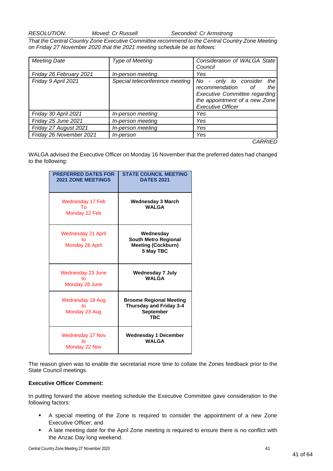*RESOLUTION: Moved: Cr Russell Seconded: Cr Armstrong*

*That the Central Country Zone Executive Committee recommend to the Central Country Zone Meeting on Friday 27 November 2020 that the 2021 meeting schedule be as follows:* 

| <b>Meeting Date</b>     | <b>Type of Meeting</b>         | Consideration of WALGA State                                                                                                                                          |
|-------------------------|--------------------------------|-----------------------------------------------------------------------------------------------------------------------------------------------------------------------|
|                         |                                | Council                                                                                                                                                               |
| Friday 26 February 2021 | In-person meeting              | Yes                                                                                                                                                                   |
| Friday 9 April 2021     | Special teleconference meeting | No.<br>only to consider<br>the<br>۰.<br>recommendation of<br>the<br><b>Executive Committee regarding</b><br>the appointment of a new Zone<br><b>Executive Officer</b> |
| Friday 30 April 2021    | In-person meeting              | Yes                                                                                                                                                                   |
| Friday 25 June 2021     | In-person meeting              | Yes                                                                                                                                                                   |
| Friday 27 August 2021   | In-person meeting              | Yes                                                                                                                                                                   |
| Friday 26 November 2021 | <i>In-person</i>               | Yes                                                                                                                                                                   |
|                         |                                | <i>CARRIED</i>                                                                                                                                                        |

WALGA advised the Executive Officer on Monday 16 November that the preferred dates had changed to the following:

| <b>PREFERRED DATES FOR</b><br><b>2021 ZONE MEETINGS</b> | <b>STATE COUNCIL MEETING</b><br><b>DATES 2021</b>                                           |
|---------------------------------------------------------|---------------------------------------------------------------------------------------------|
| Wednesday 17 Feb<br>TΩ<br>Monday 22 Feb                 | <b>Wednesday 3 March</b><br><b>WALGA</b>                                                    |
| Wednesday 21 April<br>t٥<br>Monday 26 April             | Wednesday<br><b>South Metro Regional</b><br><b>Meeting (Cockburn)</b><br>5 May TBC          |
| Wednesday 23 June<br>t٥<br>Monday 28 June               | <b>Wednesday 7 July</b><br><b>WALGA</b>                                                     |
| <b>Wednesday 18 Aug</b><br>t٥<br>Monday 23 Aug          | <b>Broome Regional Meeting</b><br>Thursday and Friday 3-4<br><b>September</b><br><b>TBC</b> |
| <b>Wednesday 17 Nov</b><br>t٥<br>Monday 22 Nov          | <b>Wednesday 1 December</b><br><b>WALGA</b>                                                 |

The reason given was to enable the secretariat more time to collate the Zones feedback prior to the State Council meetings.

#### **Executive Officer Comment:**

In putting forward the above meeting schedule the Executive Committee gave consideration to the following factors:

- A special meeting of the Zone is required to consider the appointment of a new Zone Executive Officer; and
- A late meeting date for the April Zone meeting is required to ensure there is no conflict with the Anzac Day long weekend.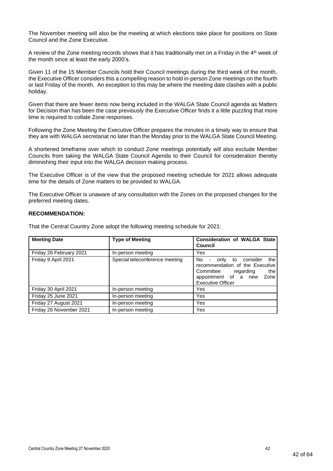The November meeting will also be the meeting at which elections take place for positions on State Council and the Zone Executive.

A review of the Zone meeting records shows that it has traditionally met on a Friday in the  $4<sup>th</sup>$  week of the month since at least the early 2000's.

Given 11 of the 15 Member Councils hold their Council meetings during the third week of the month, the Executive Officer considers this a compelling reason to hold in-person Zone meetings on the fourth or last Friday of the month. An exception to this may be where the meeting date clashes with a public holiday.

Given that there are fewer items now being included in the WALGA State Council agenda as Matters for Decision than has been the case previously the Executive Officer finds it a little puzzling that more time is required to collate Zone responses.

Following the Zone Meeting the Executive Officer prepares the minutes in a timely way to ensure that they are with WALGA secretariat no later than the Monday prior to the WALGA State Council Meeting.

A shortened timeframe over which to conduct Zone meetings potentially will also exclude Member Councils from taking the WALGA State Council Agenda to their Council for consideration thereby diminishing their input into the WALGA decision making process.

The Executive Officer is of the view that the proposed meeting schedule for 2021 allows adequate time for the details of Zone matters to be provided to WALGA.

The Executive Officer is unaware of any consultation with the Zones on the proposed changes for the preferred meeting dates.

#### **RECOMMENDATION:**

That the Central Country Zone adopt the following meeting schedule for 2021:

| <b>Meeting Date</b>     | <b>Type of Meeting</b>         | <b>Consideration of WALGA State</b><br>Council                                                                                                                                      |
|-------------------------|--------------------------------|-------------------------------------------------------------------------------------------------------------------------------------------------------------------------------------|
| Friday 26 February 2021 | In-person meeting              | Yes                                                                                                                                                                                 |
| Friday 9 April 2021     | Special teleconference meeting | No.<br>the<br>consider<br>only to<br>$\blacksquare$<br>recommendation of the Executive<br>Committee<br>the<br>regarding<br>appointment of a new<br>Zone<br><b>Executive Officer</b> |
| Friday 30 April 2021    | In-person meeting              | Yes                                                                                                                                                                                 |
| Friday 25 June 2021     | In-person meeting              | Yes                                                                                                                                                                                 |
| Friday 27 August 2021   | In-person meeting              | Yes                                                                                                                                                                                 |
| Friday 26 November 2021 | In-person meeting              | Yes                                                                                                                                                                                 |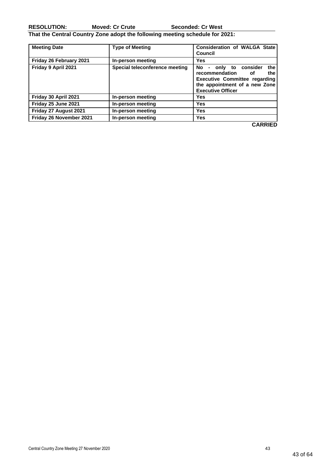**RESOLUTION: Moved: Cr Crute Seconded: Cr West**

**That the Central Country Zone adopt the following meeting schedule for 2021:** 

| <b>Meeting Date</b>     | <b>Type of Meeting</b>         | <b>Consideration of WALGA State</b><br>Council                                                                                                                         |
|-------------------------|--------------------------------|------------------------------------------------------------------------------------------------------------------------------------------------------------------------|
| Friday 26 February 2021 | In-person meeting              | Yes                                                                                                                                                                    |
| Friday 9 April 2021     | Special teleconference meeting | - only to consider<br>the<br>No l<br>recommendation<br>the<br>of.<br><b>Executive Committee regarding</b><br>the appointment of a new Zone<br><b>Executive Officer</b> |
| Friday 30 April 2021    | In-person meeting              | Yes                                                                                                                                                                    |
| Friday 25 June 2021     | In-person meeting              | Yes                                                                                                                                                                    |
| Friday 27 August 2021   | In-person meeting              | Yes                                                                                                                                                                    |
| Friday 26 November 2021 | In-person meeting              | <b>Yes</b>                                                                                                                                                             |

**CARRIED**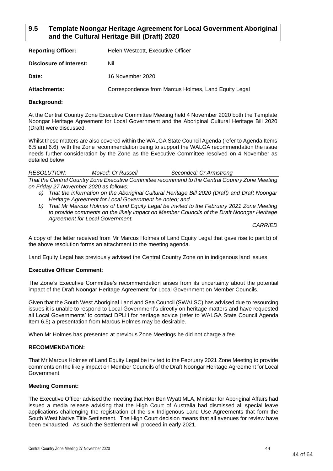# <span id="page-43-0"></span>**9.5 Template Noongar Heritage Agreement for Local Government Aboriginal and the Cultural Heritage Bill (Draft) 2020**

| <b>Reporting Officer:</b> | Helen Westcott, Executive Officer                    |
|---------------------------|------------------------------------------------------|
| Disclosure of Interest:   | Nil                                                  |
| Date:                     | 16 November 2020                                     |
| <b>Attachments:</b>       | Correspondence from Marcus Holmes, Land Equity Legal |

#### **Background:**

At the Central Country Zone Executive Committee Meeting held 4 November 2020 both the Template Noongar Heritage Agreement for Local Government and the Aboriginal Cultural Heritage Bill 2020 (Draft) were discussed.

Whilst these matters are also covered within the WALGA State Council Agenda (refer to Agenda Items 6.5 and 6.6), with the Zone recommendation being to support the WALGA recommendation the issue needs further consideration by the Zone as the Executive Committee resolved on 4 November as detailed below:

*RESOLUTION: Moved: Cr Russell Seconded: Cr Armstrong That the Central Country Zone Executive Committee recommend to the Central Country Zone Meeting on Friday 27 November 2020 as follows:*

- *a) That the information on the Aboriginal Cultural Heritage Bill 2020 (Draft) and Draft Noongar Heritage Agreement for Local Government be noted; and*
- *b) That Mr Marcus Holmes of Land Equity Legal be invited to the February 2021 Zone Meeting to provide comments on the likely impact on Member Councils of the Draft Noongar Heritage Agreement for Local Government.*

*CARRIED*

A copy of the letter received from Mr Marcus Holmes of Land Equity Legal that gave rise to part b) of the above resolution forms an attachment to the meeting agenda.

Land Equity Legal has previously advised the Central Country Zone on in indigenous land issues.

#### **Executive Officer Comment**:

The Zone's Executive Committee's recommendation arises from its uncertainty about the potential impact of the Draft Noongar Heritage Agreement for Local Government on Member Councils.

Given that the South West Aboriginal Land and Sea Council (SWALSC) has advised due to resourcing issues it is unable to respond to Local Government's directly on heritage matters and have requested all Local Governments' to contact DPLH for heritage advice (refer to WALGA State Council Agenda Item 6.5) a presentation from Marcus Holmes may be desirable.

When Mr Holmes has presented at previous Zone Meetings he did not charge a fee.

#### **RECOMMENDATION:**

That Mr Marcus Holmes of Land Equity Legal be invited to the February 2021 Zone Meeting to provide comments on the likely impact on Member Councils of the Draft Noongar Heritage Agreement for Local Government.

#### **Meeting Comment:**

The Executive Officer advised the meeting that Hon Ben Wyatt MLA, Minister for Aboriginal Affairs had issued a media release advising that the High Court of Australia had dismissed all special leave applications challenging the registration of the six Indigenous Land Use Agreements that form the South West Native Title Settlement. The High Court decision means that all avenues for review have been exhausted. As such the Settlement will proceed in early 2021.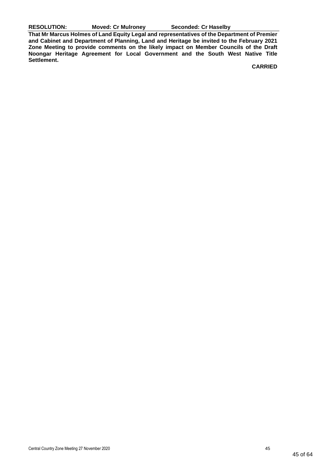**RESOLUTION: Moved: Cr Mulroney Seconded: Cr Haselby**

**That Mr Marcus Holmes of Land Equity Legal and representatives of the Department of Premier and Cabinet and Department of Planning, Land and Heritage be invited to the February 2021 Zone Meeting to provide comments on the likely impact on Member Councils of the Draft Noongar Heritage Agreement for Local Government and the South West Native Title Settlement.**

**CARRIED**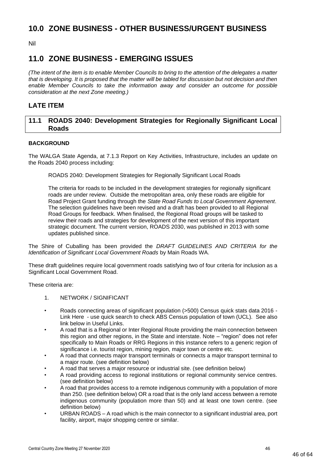# <span id="page-45-0"></span>**10.0 ZONE BUSINESS - OTHER BUSINESS/URGENT BUSINESS**

Nil

# <span id="page-45-1"></span>**11.0 ZONE BUSINESS - EMERGING ISSUES**

*(The intent of the item is to enable Member Councils to bring to the attention of the delegates a matter that is developing. It is proposed that the matter will be tabled for discussion but not decision and then enable Member Councils to take the information away and consider an outcome for possible consideration at the next Zone meeting.)*

# **LATE ITEM**

# <span id="page-45-2"></span>**11.1 ROADS 2040: Development Strategies for Regionally Significant Local Roads**

## **BACKGROUND**

The WALGA State Agenda, at 7.1.3 Report on Key Activities, Infrastructure, includes an update on the Roads 2040 process including:

ROADS 2040: Development Strategies for Regionally Significant Local Roads

The criteria for roads to be included in the development strategies for regionally significant roads are under review. Outside the metropolitan area, only these roads are eligible for Road Project Grant funding through the *State Road Funds to Local Government Agreement*. The selection guidelines have been revised and a draft has been provided to all Regional Road Groups for feedback. When finalised, the Regional Road groups will be tasked to review their roads and strategies for development of the next version of this important strategic document. The current version, ROADS 2030, was published in 2013 with some updates published since.

The Shire of Cuballing has been provided the *DRAFT GUIDELINES AND CRITERIA for the Identification of Significant Local Government Roads* by Main Roads WA.

These draft guidelines require local government roads satisfying two of four criteria for inclusion as a Significant Local Government Road.

These criteria are:

- 1. NETWORK / SIGNIFICANT
- Roads connecting areas of significant population (>500) Census quick stats data 2016 Link Here - use quick search to check ABS Census population of town (UCL). See also link below in Useful Links.
- A road that is a Regional or Inter Regional Route providing the main connection between this region and other regions, in the State and interstate. Note – "region" does not refer specifically to Main Roads or RRG Regions in this instance refers to a generic region of significance i.e. tourist region, mining region, major town or centre etc.
- A road that connects major transport terminals or connects a major transport terminal to a major route. (see definition below)
- A road that serves a major resource or industrial site. (see definition below)
- A road providing access to regional institutions or regional community service centres. (see definition below)
- A road that provides access to a remote indigenous community with a population of more than 250. (see definition below) OR a road that is the only land access between a remote indigenous community (population more than 50) and at least one town centre. (see definition below)
- URBAN ROADS A road which is the main connector to a significant industrial area, port facility, airport, major shopping centre or similar.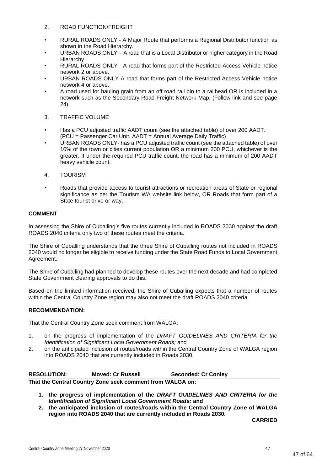#### 2. ROAD FUNCTION/FREIGHT

- RURAL ROADS ONLY A Major Route that performs a Regional Distributor function as shown in the Road Hierarchy.
- URBAN ROADS ONLY A road that is a Local Distributor or higher category in the Road Hierarchy.
- RURAL ROADS ONLY A road that forms part of the Restricted Access Vehicle notice network 2 or above.
- URBAN ROADS ONLY A road that forms part of the Restricted Access Vehicle notice network 4 or above.
- A road used for hauling grain from an off road rail bin to a railhead OR is included in a network such as the Secondary Road Freight Network Map. (Follow link and see page 24).
- 3. TRAFFIC VOLUME
- Has a PCU adjusted traffic AADT count (see the attached table) of over 200 AADT. (PCU = Passenger Car Unit. AADT = Annual Average Daily Traffic)
- URBAN ROADS ONLY- has a PCU adjusted traffic count (see the attached table) of over 10% of the town or cities current population OR a minimum 200 PCU, whichever is the greater. If under the required PCU traffic count, the road has a minimum of 200 AADT heavy vehicle count.
- 4. TOURISM
- Roads that provide access to tourist attractions or recreation areas of State or regional significance as per the Tourism WA website link below, OR Roads that form part of a State tourist drive or way.

#### **COMMENT**

In assessing the Shire of Cuballing's five routes currently included in ROADS 2030 against the draft ROADS 2040 criteria only two of these routes meet the criteria.

The Shire of Cuballing understands that the three Shire of Cuballing routes not included in ROADS 2040 would no longer be eligible to receive funding under the State Road Funds to Local Government Agreement.

The Shire of Cuballing had planned to develop these routes over the next decade and had completed State Government clearing approvals to do this.

Based on the limited information received, the Shire of Cuballing expects that a number of routes within the Central Country Zone region may also not meet the draft ROADS 2040 criteria.

#### **RECOMMENDATION:**

That the Central Country Zone seek comment from WALGA:

- 1. on the progress of implementation of the *DRAFT GUIDELINES AND CRITERIA for the Identification of Significant Local Government Roads;* and
- 2. on the anticipated inclusion of routes/roads within the Central Country Zone of WALGA region into ROADS 2040 that are currently included in Roads 2030.

| <b>RESOLUTION:</b> | <b>Moved: Cr Russell</b>                                  | <b>Seconded: Cr Conley</b> |
|--------------------|-----------------------------------------------------------|----------------------------|
|                    | That the Central Country Zone seek comment from WALGA on: |                            |

- **1. the progress of implementation of the** *DRAFT GUIDELINES AND CRITERIA for the Identification of Significant Local Government Roads;* **and**
- **2. the anticipated inclusion of routes/roads within the Central Country Zone of WALGA region into ROADS 2040 that are currently included in Roads 2030.**

**CARRIED**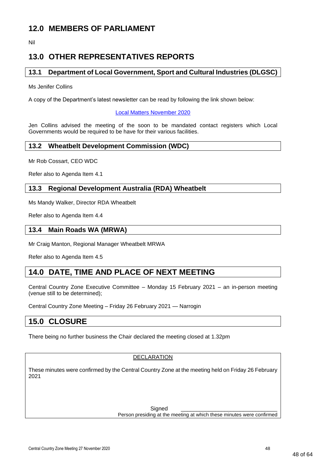# <span id="page-47-0"></span>**12.0 MEMBERS OF PARLIAMENT**

Nil

# <span id="page-47-1"></span>**13.0 OTHER REPRESENTATIVES REPORTS**

# <span id="page-47-2"></span>**13.1 Department of Local Government, Sport and Cultural Industries (DLGSC)**

Ms Jenifer Collins

A copy of the Department's latest newsletter can be read by following the link shown below:

#### [Local Matters November 2020](https://mailchi.mp/dlgsc/local-matters-november-2020)

Jen Collins advised the meeting of the soon to be mandated contact registers which Local Governments would be required to be have for their various facilities.

## <span id="page-47-3"></span>**13.2 Wheatbelt Development Commission (WDC)**

Mr Rob Cossart, CEO WDC

Refer also to Agenda Item 4.1

# <span id="page-47-4"></span>**13.3 Regional Development Australia (RDA) Wheatbelt**

Ms Mandy Walker, Director RDA Wheatbelt

Refer also to Agenda Item 4.4

## <span id="page-47-5"></span>**13.4 Main Roads WA (MRWA)**

Mr Craig Manton, Regional Manager Wheatbelt MRWA

Refer also to Agenda Item 4.5

# <span id="page-47-6"></span>**14.0 DATE, TIME AND PLACE OF NEXT MEETING**

Central Country Zone Executive Committee – Monday 15 February 2021 – an in-person meeting (venue still to be determined);

Central Country Zone Meeting – Friday 26 February 2021 — Narrogin

# <span id="page-47-7"></span>**15.0 CLOSURE**

There being no further business the Chair declared the meeting closed at 1.32pm

#### DECLARATION

These minutes were confirmed by the Central Country Zone at the meeting held on Friday 26 February 2021

> Signed Person presiding at the meeting at which these minutes were confirmed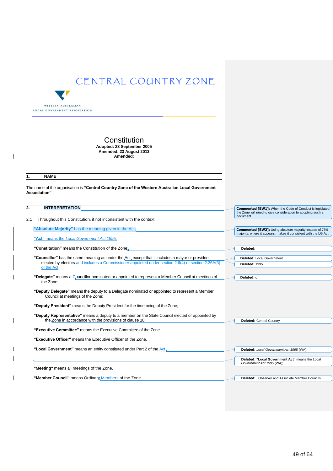

#### **Constitution Adopted: 23 September 2005 Amended: 23 August 2013 Amended:**

#### **1. NAME**

The name of the organisation is **"Central Country Zone of the Western Australian Local Government Association"**.

| 2. | <b>INTERPRETATION</b> |  |
|----|-----------------------|--|
|    |                       |  |

2.1 Throughout this Constitution, if not inconsistent with the context:

**"Absolute Majority"** has the meaning given in the Act;

**"Act"** means the *Local Government Act 1995*;

**"Constitution"** means the Constitution of the Zone;

- "Councillor" has the same meaning as under the Act, except that it includes a mayor or president elected by electors and includes a Commissioner appointed under section 2.6(4) or section 2.36A(3) of the Act;
- **"Delegate"** means a Councillor nominated or appointed to represent a Member Council at meetings of the Zone;
- **"Deputy Delegate"** means the deputy to a Delegate nominated or appointed to represent a Member Council at meetings of the Zone;
- **"Deputy President"** means the Deputy President for the time being of the Zone;
- **"Deputy Representative"** means a deputy to a member on the State Council elected or appointed by the Zone in accordance with the provisions of clause 10;

**"Executive Committee"** means the Executive Committee of the Zone.

**"Executive Officer"** means the Executive Officer of the Zone.

"Local Government" means an entity constituted under Part 2 of the Act, **Deleted:** *Local Government Act 1995* (WA);

**"Meeting"** means all meetings of the Zone.

"Member Council" means Ordinary Members of the Zone.

**Commented [BW1]:** When the Code of Conduct is legislated the Zone will need to give consideration to adopting such a document

**Commented [BW2]:** Using absolute majority instead of 75% majority, where it appears, makes it consistent with the LG Act.

**Deleted:** Local Government **Deleted:** 1995

**Deleted:** c

**Deleted:** Central Country

**Deleted:** .

**Deleted: "Local Government Act"** means the *Local Government Act 1995* (WA);

**Deleted:** , Observer and Associate Member Councils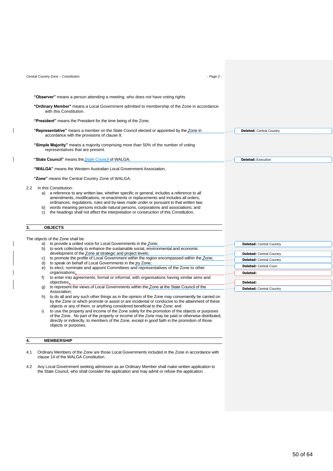|          | Central Country Zone - Constitution                                                                                                                                                                                                                                                                                                                                                                                                                                                    | $-Page 2 -$ |                                 |
|----------|----------------------------------------------------------------------------------------------------------------------------------------------------------------------------------------------------------------------------------------------------------------------------------------------------------------------------------------------------------------------------------------------------------------------------------------------------------------------------------------|-------------|---------------------------------|
|          |                                                                                                                                                                                                                                                                                                                                                                                                                                                                                        |             |                                 |
|          | "Observer" means a person attending a meeting, who does not have voting rights                                                                                                                                                                                                                                                                                                                                                                                                         |             |                                 |
|          | "Ordinary Member" means a Local Government admitted to membership of the Zone in accordance<br>with this Constitution.                                                                                                                                                                                                                                                                                                                                                                 |             |                                 |
|          | "President" means the President for the time being of the Zone;                                                                                                                                                                                                                                                                                                                                                                                                                        |             |                                 |
|          | "Representative" means a member on the State Council elected or appointed by the Zone in<br>accordance with the provisions of clause 9;                                                                                                                                                                                                                                                                                                                                                |             | <b>Deleted:</b> Central Country |
|          | "Simple Majority" means a majority comprising more than 50% of the number of voting<br>representatives that are present.                                                                                                                                                                                                                                                                                                                                                               |             |                                 |
|          | "State Council" means the State Council of WALGA;                                                                                                                                                                                                                                                                                                                                                                                                                                      |             | <b>Deleted: Executive</b>       |
|          | "WALGA" means the Western Australian Local Government Association;                                                                                                                                                                                                                                                                                                                                                                                                                     |             |                                 |
|          | "Zone" means the Central Country Zone of WALGA.                                                                                                                                                                                                                                                                                                                                                                                                                                        |             |                                 |
| b)<br>C) | 2.2 In this Constitution:<br>a) a reference to any written law, whether specific or general, includes a reference to all<br>amendments, modifications, re-enactments or replacements and includes all orders,<br>ordinances, regulations, rules and by-laws made under or pursuant to that written law;<br>words meaning persons include natural persons, corporations and associations; and<br>the headings shall not affect the interpretation or construction of this Constitution. |             |                                 |
| 3.       | <b>OBJECTS</b>                                                                                                                                                                                                                                                                                                                                                                                                                                                                         |             |                                 |
|          | The objects of the Zone shall be:                                                                                                                                                                                                                                                                                                                                                                                                                                                      |             |                                 |
|          | a) to provide a united voice for Local Governments in the Zone;                                                                                                                                                                                                                                                                                                                                                                                                                        |             | <b>Deleted: Central Country</b> |
|          | b) to work collectively to enhance the sustainable social, environmental and economic<br>development of the Zone at strategic and project levels;                                                                                                                                                                                                                                                                                                                                      |             | <b>Deleted:</b> Central Country |
| C)       | to promote the profile of Local Government within the region encompassed within the Zone;                                                                                                                                                                                                                                                                                                                                                                                              |             | <b>Deleted: Central Country</b> |
| d)       | to speak on behalf of Local Governments in the try Zone;                                                                                                                                                                                                                                                                                                                                                                                                                               |             | Deleted: Central Coun           |
| e)       | to elect, nominate and appoint Committees and representatives of the Zone to other                                                                                                                                                                                                                                                                                                                                                                                                     |             |                                 |
| f)       | organisations:<br>to enter into agreements, formal or informal, with organisations having similar aims and                                                                                                                                                                                                                                                                                                                                                                             |             | Deleted:                        |
|          | objectives:                                                                                                                                                                                                                                                                                                                                                                                                                                                                            |             | Deleted:                        |
| q)       | to represent the views of Local Governments within the Zone at the State Council of the                                                                                                                                                                                                                                                                                                                                                                                                |             | <b>Deleted: Central Country</b> |
| h)       | Association:<br>to do all and any such other things as in the opinion of the Zone may conveniently be carried on                                                                                                                                                                                                                                                                                                                                                                       |             |                                 |
| i)       | by the Zone or which promote or assist or are incidental or conducive to the attainment of these<br>objects or any of them, or anything considered beneficial to the Zone; and<br>to use the property and income of the Zone solely for the promotion of the objects or purposes<br>of the Zone. No part of the property or income of the Zone may be paid or otherwise distributed,                                                                                                   |             |                                 |
|          | directly or indirectly, to members of the Zone, except in good faith in the promotion of those<br>objects or purposes.                                                                                                                                                                                                                                                                                                                                                                 |             |                                 |

#### **4. MEMBERSHIP**

 $\overline{\phantom{a}}$ 

 $\overline{\phantom{a}}$ 

 $\overline{\phantom{a}}$ 

 $\overline{\phantom{a}}$ 

4.1 Ordinary Members of the Zone are those Local Governments included in the Zone in accordance with clause 14 of the WALGA Constitution.

4.2 Any Local Government seeking admission as an Ordinary Member shall make written application to the State Council, who shall consider the application and may admit or refuse the application.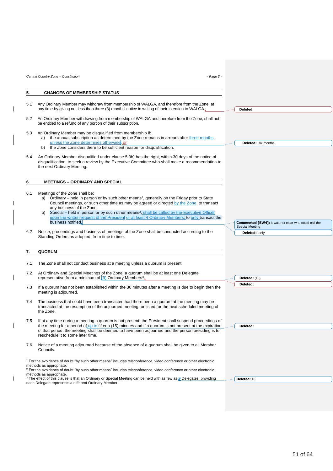|     | Central Country Zone - Constitution<br>$-Page 3 -$                                                                                                                                                                                                                                                                                                                                                                                                                                                                  |                                                             |
|-----|---------------------------------------------------------------------------------------------------------------------------------------------------------------------------------------------------------------------------------------------------------------------------------------------------------------------------------------------------------------------------------------------------------------------------------------------------------------------------------------------------------------------|-------------------------------------------------------------|
|     |                                                                                                                                                                                                                                                                                                                                                                                                                                                                                                                     |                                                             |
| 5.  | <b>CHANGES OF MEMBERSHIP STATUS</b>                                                                                                                                                                                                                                                                                                                                                                                                                                                                                 |                                                             |
| 5.1 | Any Ordinary Member may withdraw from membership of WALGA, and therefore from the Zone, at<br>any time by giving not less than three (3) months' notice in writing of their intention to WALGA.                                                                                                                                                                                                                                                                                                                     | Deleted:                                                    |
| 5.2 | An Ordinary Member withdrawing from membership of WALGA and therefore from the Zone, shall not<br>be entitled to a refund of any portion of their subscription.                                                                                                                                                                                                                                                                                                                                                     |                                                             |
| 5.3 | An Ordinary Member may be disqualified from membership if:<br>the annual subscription as determined by the Zone remains in arrears after three months<br>unless the Zone determines otherwise, or                                                                                                                                                                                                                                                                                                                   | <b>Deleted:</b> six months                                  |
|     | the Zone considers there to be sufficient reason for disqualification.<br>b)                                                                                                                                                                                                                                                                                                                                                                                                                                        |                                                             |
| 5.4 | An Ordinary Member disqualified under clause 5.3b) has the right, within 30 days of the notice of<br>disqualification, to seek a review by the Executive Committee who shall make a recommendation to<br>the next Ordinary Meeting.                                                                                                                                                                                                                                                                                 |                                                             |
| 6.  | <b>MEETINGS - ORDINARY AND SPECIAL</b>                                                                                                                                                                                                                                                                                                                                                                                                                                                                              |                                                             |
|     |                                                                                                                                                                                                                                                                                                                                                                                                                                                                                                                     |                                                             |
| 6.1 | Meetings of the Zone shall be:<br>a) Ordinary – held in person or by such other means <sup>1</sup> , generally on the Friday prior to State<br>Council meetings, or such other time as may be agreed or directed by the Zone, to transact<br>any business of the Zone.<br>Special – held in person or by such other means <sup>2</sup> , shall be called by the Executive Officer                                                                                                                                   |                                                             |
|     | b)<br>upon the written request of the President or at least 4 Ordinary Members, to only transact the<br>business notified.                                                                                                                                                                                                                                                                                                                                                                                          | <b>Commented [BW4]:</b> It was not clear who could call the |
| 6.2 | Notice, proceedings and business of meetings of the Zone shall be conducted according to the                                                                                                                                                                                                                                                                                                                                                                                                                        | <b>Special Meeting</b><br><b>Deleted: only</b>              |
|     | Standing Orders as adopted, from time to time.                                                                                                                                                                                                                                                                                                                                                                                                                                                                      |                                                             |
|     |                                                                                                                                                                                                                                                                                                                                                                                                                                                                                                                     |                                                             |
| 7.  | QUORUM                                                                                                                                                                                                                                                                                                                                                                                                                                                                                                              |                                                             |
| 7.1 | The Zone shall not conduct business at a meeting unless a quorum is present.                                                                                                                                                                                                                                                                                                                                                                                                                                        |                                                             |
| 7.2 | At Ordinary and Special Meetings of the Zone, a quorum shall be at least one Delegate<br>representative from a minimum of $(9)$ Ordinary Members <sup>3</sup>                                                                                                                                                                                                                                                                                                                                                       |                                                             |
|     |                                                                                                                                                                                                                                                                                                                                                                                                                                                                                                                     | Deleted: (10)<br>Deleted:                                   |
| 7.3 | If a quorum has not been established within the 30 minutes after a meeting is due to begin then the<br>meeting is adjourned.                                                                                                                                                                                                                                                                                                                                                                                        |                                                             |
| 7.4 | The business that could have been transacted had there been a quorum at the meeting may be<br>transacted at the resumption of the adjourned meeting, or listed for the next scheduled meeting of<br>the Zone.                                                                                                                                                                                                                                                                                                       |                                                             |
| 7.5 | If at any time during a meeting a quorum is not present, the President shall suspend proceedings of<br>the meeting for a period of up to fifteen (15) minutes and if a quorum is not present at the expiration<br>of that period, the meeting shall be deemed to have been adjourned and the person presiding is to<br>reschedule it to some later time.                                                                                                                                                            | Deleted:                                                    |
| 7.6 | Notice of a meeting adjourned because of the absence of a quorum shall be given to all Member<br>Councils.                                                                                                                                                                                                                                                                                                                                                                                                          |                                                             |
|     | <sup>1</sup> For the avoidance of doubt "by such other means" includes teleconference, video conference or other electronic<br>methods as appropriate.<br><sup>2</sup> For the avoidance of doubt "by such other means" includes teleconference, video conference or other electronic<br>methods as appropriate.<br><sup>3</sup> The effect of this clause is that an Ordinary or Special Meeting can be held with as few as <b>Q</b> Delegates, providing<br>each Delegate represents a different Ordinary Member. | Deleted: 10                                                 |

 $\begin{array}{c} \hline \end{array}$ 

 $\overline{\phantom{a}}$ 

 $\begin{array}{c} \hline \end{array}$ 

 $\overline{\phantom{a}}$ 

 $\overline{\mathbf{I}}$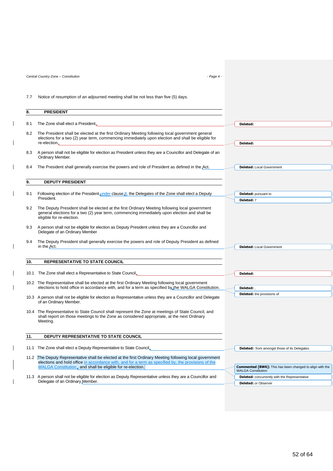*Central Country Zone – Constitution - Page 4 -*

 $\begin{array}{c} \hline \end{array}$ 

 $\overline{\phantom{a}}$ 

 $\begin{array}{c} \hline \end{array}$ 

 $\begin{array}{c} \hline \end{array}$ 

 $\overline{\phantom{a}}$ 

 $\overline{1}$ 

 $\overline{\phantom{a}}$ 

 $\overline{\phantom{a}}$ 

 $\overline{\phantom{a}}$ 

7.7 Notice of resumption of an adjourned meeting shall be not less than five (5) days.

| 8.  | <b>PRESIDENT</b>                                                                                                                                                                                                            |                                                                 |
|-----|-----------------------------------------------------------------------------------------------------------------------------------------------------------------------------------------------------------------------------|-----------------------------------------------------------------|
| 8.1 | The Zone shall elect a President.                                                                                                                                                                                           | Deleted:                                                        |
|     |                                                                                                                                                                                                                             |                                                                 |
| 8.2 | The President shall be elected at the first Ordinary Meeting following local government general<br>elections for a two (2) year term, commencing immediately upon election and shall be eligible for                        |                                                                 |
|     | re-election.                                                                                                                                                                                                                | Deleted:                                                        |
| 8.3 | A person shall not be eligible for election as President unless they are a Councillor and Delegate of an<br>Ordinary Member.                                                                                                |                                                                 |
| 8.4 | The President shall generally exercise the powers and role of President as defined in the Act.                                                                                                                              | <b>Deleted:</b> Local Government                                |
|     |                                                                                                                                                                                                                             |                                                                 |
| 9.  | <b>DEPUTY PRESIDENT</b>                                                                                                                                                                                                     |                                                                 |
|     |                                                                                                                                                                                                                             |                                                                 |
| 9.1 | Following election of the President under clause $\beta$ , the Delegates of the Zone shall elect a Deputy<br>President.                                                                                                     | Deleted: pursuant to                                            |
|     |                                                                                                                                                                                                                             | Deleted: 7                                                      |
| 9.2 | The Deputy President shall be elected at the first Ordinary Meeting following local government<br>general elections for a two (2) year term, commencing immediately upon election and shall be<br>eligible for re-election. |                                                                 |
| 9.3 | A person shall not be eligible for election as Deputy President unless they are a Councillor and<br>Delegate of an Ordinary Member                                                                                          |                                                                 |
| 9.4 | The Deputy President shall generally exercise the powers and role of Deputy President as defined<br>in the Act.                                                                                                             | <b>Deleted:</b> Local Government                                |
|     |                                                                                                                                                                                                                             |                                                                 |
| 10. | <b>REPRESENTATIVE TO STATE COUNCIL</b>                                                                                                                                                                                      |                                                                 |
|     |                                                                                                                                                                                                                             |                                                                 |
|     | 10.1 The Zone shall elect a Representative to State Council.                                                                                                                                                                | Deleted:                                                        |
|     | 10.2 The Representative shall be elected at the first Ordinary Meeting following local government                                                                                                                           |                                                                 |
|     | elections to hold office in accordance with, and for a term as specified by the WALGA Constitution.                                                                                                                         | Deleted:                                                        |
|     | 10.3 A person shall not be eligible for election as Representative unless they are a Councillor and Delegate<br>of an Ordinary Member.                                                                                      | <b>Deleted:</b> the provisions of                               |
|     | 10.4 The Representative to State Council shall represent the Zone at meetings of State Council, and<br>shall report on those meetings to the Zone as considered appropriate, at the next Ordinary<br>Meeting.               |                                                                 |
|     |                                                                                                                                                                                                                             |                                                                 |
| 11. | DEPUTY REPRESENTATIVE TO STATE COUNCIL                                                                                                                                                                                      |                                                                 |
|     | 11.1 The Zone shall elect a Deputy Representative to State Council,                                                                                                                                                         | <b>Deleted:</b> from amongst those of its Delegates.            |
|     | 11.2 The Deputy Representative shall be elected at the first Ordinary Meeting following local government                                                                                                                    |                                                                 |
|     | elections and hold office in accordance with, and for a term as specified by, the provisions of the<br>WALGA Constitution, and shall be eligible for re-election.                                                           | <b>Commented [BW6]:</b> This has been changed to align with the |
|     |                                                                                                                                                                                                                             | <b>WALGA Constitution</b>                                       |
|     | 11.3 A person shall not be eligible for election as Deputy Representative unless they are a Councillor and<br>Delegate of an Ordinary Member.                                                                               | <b>Deleted:</b> concurrently with the Representative            |
|     |                                                                                                                                                                                                                             | <b>Deleted: or Observer</b>                                     |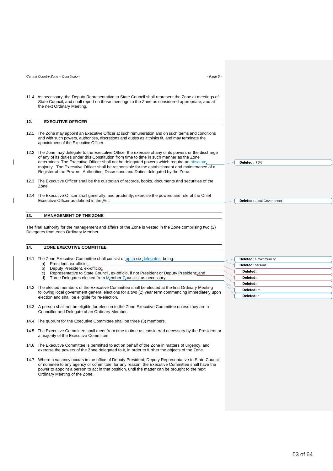*Central Country Zone – Constitution - Page 5 -*

11.4 As necessary, the Deputy Representative to State Council shall represent the Zone at meetings of State Council, and shall report on those meetings to the Zone as considered appropriate, and at the next Ordinary Meeting.

#### **12. EXECUTIVE OFFICER**

- 12.1 The Zone may appoint an Executive Officer at such remuneration and on such terms and conditions and with such powers, authorities, discretions and duties as it thinks fit, and may terminate the appointment of the Executive Officer.
- 12.2 The Zone may delegate to the Executive Officer the exercise of any of its powers or the discharge of any of its duties under this Constitution from time to time in such manner as the Zone determines. The Executive Officer shall not be delegated powers which require an absolute majority. The Executive Officer shall be responsible for the establishment and maintenance of a Register of the Powers, Authorities, Discretions and Duties delegated by the Zone.
- 12.3 The Executive Officer shall be the custodian of records, books, documents and securities of the Zone.
- 12.4 The Executive Officer shall generally, and prudently, exercise the powers and role of the Chief Executive Officer as defined in the Act.

#### **13. MANAGEMENT OF THE ZONE**

The final authority for the management and affairs of the Zone is vested in the Zone comprising two (2) Delegates from each Ordinary Member.

#### **14. ZONE EXECUTIVE COMMITTEE**

- 14.1 The Zone Executive Committee shall consist of up to six delegates, being: a) President, ex-officio;
	- b) Deputy President, ex-officio;
	- c) Representative to State Council, ex-officio, if not President or Deputy President; and<br>d) Three Delegates elected from Member Councils as necessary
	- Three Delegates elected from Member Councils, as necessary
- 14.2 The elected members of the Executive Committee shall be elected at the first Ordinary Meeting following local government general elections for a two (2) year term commencing immediately upon election and shall be eligible for re-election.
- 14.3 A person shall not be eligible for election to the Zone Executive Committee unless they are a Councillor and Delegate of an Ordinary Member.
- 14.4 The quorum for the Executive Committee shall be three (3) members.
- 14.5 The Executive Committee shall meet from time to time as considered necessary by the President or a majority of the Executive Committee.
- 14.6 The Executive Committee is permitted to act on behalf of the Zone in matters of urgency, and exercise the powers of the Zone delegated to it, in order to further the objects of the Zone.
- 14.7 Where a vacancy occurs in the office of Deputy President, Deputy Representative to State Council or nominee to any agency or committee, for any reason, the Executive Committee shall have the power to appoint a person to act in that position, until the matter can be brought to the next Ordinary Meeting of the Zone.

**Deleted:** 75%

**Deleted:** Local Government

| <b>Deleted:</b> a maximum of |
|------------------------------|
| Deleted: persons             |
| Deleted: .                   |
| Deleted:                     |
| Deleted:                     |
| Deleted: m                   |
| Deleted: c                   |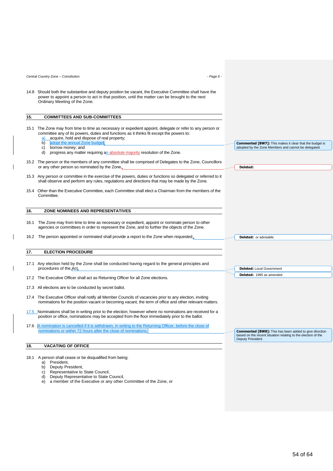*Central Country Zone – Constitution - Page 6 -*

14.8 Should both the substantive and deputy position be vacant, the Executive Committee shall have the power to appoint a person to act in that position, until the matter can be brought to the next Ordinary Meeting of the Zone.

#### **15. COMMITTEES AND SUB-COMMITTEES**

- 15.1 The Zone may from time to time as necessary or expedient appoint, delegate or refer to any person or committee any of its powers, duties and functions as it thinks fit except the powers to:
	- $\frac{a}{b}$  acquire, hold and dispose of real property;<br>b) adopt the annual Zone budget: adopt the annual Zone budget
	-
	- c) borrow money; and
	- d) progress any matter requiring an absolute majority resolution of the Zone.
- 15.2 The person or the members of any committee shall be comprised of Delegates to the Zone, Councillors or any other person so nominated by the Zone.
- 15.3 Any person or committee in the exercise of the powers, duties or functions so delegated or referred to it shall observe and perform any rules, regulations and directions that may be made by the Zone.
- 15.4 Other than the Executive Committee, each Committee shall elect a Chairman from the members of the Committee.

#### **16. ZONE NOMINEES AND REPRESENTATIVES**

16.1 The Zone may from time to time as necessary or expedient, appoint or nominate person to other agencies or committees in order to represent the Zone, and to further the objects of the Zone.

16.2 The person appointed or nominated shall provide a report to the Zone when requested.

#### **17. ELECTION PROCEDURE**

- 17.1 Any election held by the Zone shall be conducted having regard to the general principles and procedures of the Act.
- 17.2 The Executive Officer shall act as Returning Officer for all Zone elections.
- 17.3 All elections are to be conducted by secret ballot.
- 17.4 The Executive Officer shall notify all Member Councils of vacancies prior to any election, inviting nominations for the position vacant or becoming vacant, the term of office and other relevant matters.
- 17.5 Nominations shall be in writing prior to the election; however where no nominations are received for a position or office, nominations may be accepted from the floor immediately prior to the ballot.
- 17.6 A nomination is cancelled if it is withdrawn, in writing to the Returning Officer, before the close of nominations or within 72 hours after the close of nominations.

#### **18. VACATING OF OFFICE**

- 18.1 A person shall cease or be disqualified from being:
	- a) President,
	- b) Deputy President,
	- c) Representative to State Council,<br>
	d) Deputy Representative to State Deputy Representative to State Council,
	- e) a member of the Executive or any other Committee of the Zone, or

**Deleted:** or advisable

Deputy President.

**Deleted:** 

**Deleted:** Local Government **Deleted:** 1995 as amended

**Commented [BW8]:** This has been added to give direction based on the recent situation relating to the election of the

**Commented [BW7]:** This makes it clear that the budget is adopted by the Zone Members and cannot be delegated.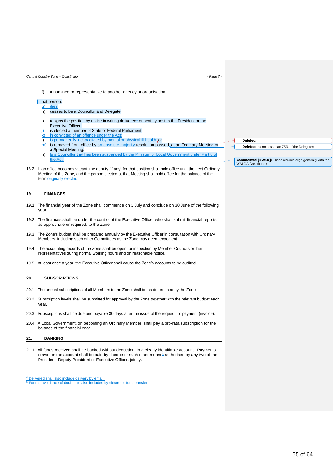f) a nominee or representative to another agency or organisation,

#### if that person:

- g) die
- h) ceases to be a Councillor and Delegate,
- i) resigns the position by notice in writing delivered<sup>4</sup> or sent by post to the President or the Executive Officer,
- j) is elected a member of State or Federal Parliament,
- $k$ ) in convicted of an offence under the Act
- l) is permanently incapacitated by mental or physical ill-health.or
- $\overline{m}$ ) is removed from office by an absolute majority resolution passed, at an Ordinary Meeting or a Special Meeting.
- n) Is a Councillor that has been suspended by the Minister for Local Government under Part 8 of the Act.
- 18.2 If an office becomes vacant, the deputy (if any) for that position shall hold office until the next Ordinary Meeting of the Zone, and the person elected at that Meeting shall hold office for the balance of the term originally elected.

#### **19. FINANCES**

- 19.1 The financial year of the Zone shall commence on 1 July and conclude on 30 June of the following year.
- 19.2 The finances shall be under the control of the Executive Officer who shall submit financial reports as appropriate or required, to the Zone.
- 19.3 The Zone's budget shall be prepared annually by the Executive Officer in consultation with Ordinary Members, including such other Committees as the Zone may deem expedient.
- 19.4 The accounting records of the Zone shall be open for inspection by Member Councils or their representatives during normal working hours and on reasonable notice.
- 19.5 At least once a year, the Executive Officer shall cause the Zone's accounts to be audited.

#### **20. SUBSCRIPTIONS**

- 20.1 The annual subscriptions of all Members to the Zone shall be as determined by the Zone.
- 20.2 Subscription levels shall be submitted for approval by the Zone together with the relevant budget each year.
- 20.3 Subscriptions shall be due and payable 30 days after the issue of the request for payment (invoice).
- 20.4 A Local Government, on becoming an Ordinary Member, shall pay a pro-rata subscription for the balance of the financial year.

#### **21. BANKING**

- 21.1 All funds received shall be banked without deduction, in a clearly identifiable account. Payments drawn on the account shall be paid by cheque or such other means<sup>5</sup> authorised by any two of the President, Deputy President or Executive Officer, jointly.
- $\frac{4}{5}$  Delivered shall also include delivery by email.<br> $\frac{5}{5}$  For the avoidance of doubt this also includes 5 For the avoidance of the avoidance of the avoidance of the also includes by electronic fund transfer.

**Deleted:** ;

**Deleted:** by not less than 75% of the Delegates

**Commented [BW10]:** These clauses align generally with the WAI GA Constitution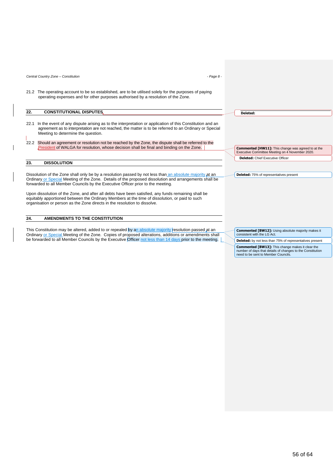*Central Country Zone – Constitution - Page 8 -*

21.2 The operating account to be so established, are to be utilised solely for the purposes of paying operating expenses and for other purposes authorised by a resolution of the Zone.

#### **22. CONSTITUTIONAL DISPUTES**

- 22.1 In the event of any dispute arising as to the interpretation or application of this Constitution and an agreement as to interpretation are not reached, the matter is to be referred to an Ordinary or Special Meeting to determine the question.
- 22.2 Should an agreement or resolution not be reached by the Zone, the dispute shall be referred to the President of WALGA for resolution, whose decision shall be final and binding on the Zone.

#### **23. DISSOLUTION**

Dissolution of the Zone shall only be by a resolution passed by not less than an absolute majority at an Ordinary or Special Meeting of the Zone. Details of the proposed dissolution and arrangements shall be forwarded to all Member Councils by the Executive Officer prior to the meeting.

Upon dissolution of the Zone, and after all debts have been satisfied, any funds remaining shall be equitably apportioned between the Ordinary Members at the time of dissolution, or paid to such organisation or person as the Zone directs in the resolution to dissolve.

#### **24. AMENDMENTS TO THE CONSTITUTION**

This Constitution may be altered, added to or repealed by an absolute majority resolution passed at an Ordinary or Special Meeting of the Zone. Copies of proposed alterations, additions or amendments shall be forwarded to all Member Councils by the Executive Officer not less than 14 days prior to the meeting.

**Deleted:** 

**Deleted:** Chief Executive Officer **Commented [HW11]:** This change was agreed to at the Executive Committee Meeting on 4 November 2020.

**Deleted:** 75% of representatives present

**Commented [BW12]:** Using absolute majority makes it consistent with the LG Act.

**Deleted:** by not less than 75% of representatives present

**Commented [BW13]:** This change makes it clear the number of days that details of changes to the Constitution need to be sent to Member Councils.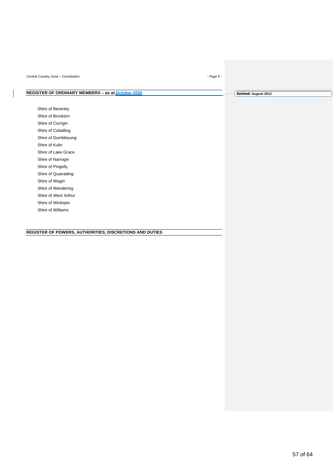*Central Country Zone – Constitution - Page 9 -*

# **REGISTER OF ORDINARY MEMBERS - as at <b>October 2020**

Shire of Beverley Shire of Brookton Shire of Corrigin Shire of Cuballing Shire of Dumbleyung Shire of Kulin Shire of Lake Grace Shire of Narrogin Shire of Pingelly Shire of Quairading Shire of Wagin Shire of Wandering Shire of West Arthur Shire of Wickepin

Shire of Williams

#### **REGISTER OF POWERS, AUTHORITIES, DISCRETIONS AND DUTIES**

**Deleted: August 2013**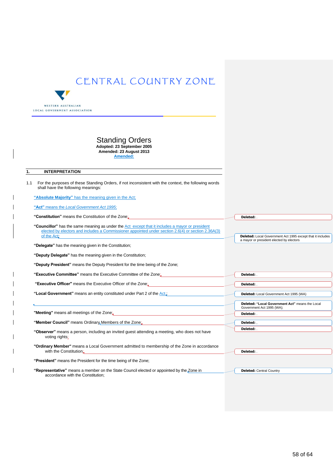

#### Standing Orders **Adopted: 23 September 2005 Amended: 23 August 2013 Amended:**

#### **1. INTERPRETATION**

| 1.1 For the purposes of these Standing Orders, if not inconsistent with the context, the following words |
|----------------------------------------------------------------------------------------------------------|
| shall have the following meanings:                                                                       |

**"Absolute Majority"** has the meaning given in the Act;

**"Act"** means the *Local Government Act 1995*;

**"Constitution"** means the Constitution of the Zone;

**"Councillor"** has the same meaning as under the Act except that it includes a mayor or president elected by electors and includes a Commissioner appointed under section 2.6(4) or section 2.36A(3) of the Act;

**"Delegate"** has the meaning given in the Constitution;

**"Deputy Delegate"** has the meaning given in the Constitution;

**"Deputy President"** means the Deputy President for the time being of the Zone;

**"Executive Committee"** means the Executive Committee of the Zone;

**"Executive Officer"** means the Executive Officer of the Zone;

"Local Government" means an entity constituted under Part 2 of the Act,

**"Member Council"** means Ordinary Members of the Zone;

**"Meeting"** means all meetings of the Zone;

**"Observer"** means a person, including an invited guest attending a meeting, who does not have voting rights;

**"Ordinary Member"** means a Local Government admitted to membership of the Zone in accordance with the Constitution;

**"President"** means the President for the time being of the Zone;

**"Representative"** means a member on the State Council elected or appointed by the Zone in accordance with the Constitution; **Deleted: Central Country** 

**Deleted:** .

**Deleted:** . **Deleted:** .

**Deleted:** . **Deleted:** , **Deleted:** .

**Deleted:** .

**Deleted:** Local Government Act 1995 except that it includes

a mayor or president elected by electors

**Deleted:** Local Government Act 1995 (WA)

Government Act 1995 (WA);

**Deleted: "Local Government Act"** means the Local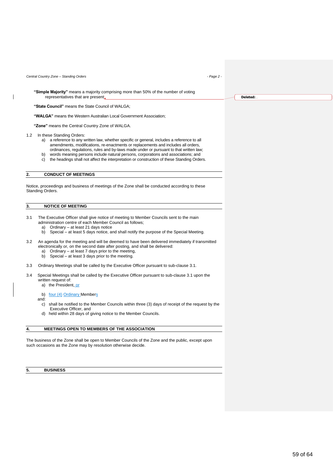*Central Country Zone – Standing Orders - Page 2 -*

**"Simple Majority"** means a majority comprising more than 50% of the number of voting representatives that are present;

**"State Council"** means the State Council of WALGA;

**"WALGA"** means the Western Australian Local Government Association;

**"Zone"** means the Central Country Zone of WALGA.

- 1.2 In these Standing Orders:
	- a) a reference to any written law, whether specific or general, includes a reference to all amendments, modifications, re-enactments or replacements and includes all orders, ordinances, regulations, rules and by-laws made under or pursuant to that written law;
	- b) words meaning persons include natural persons, corporations and associations; and c) the headings shall not affect the interpretation or construction of these Standing Orders.

#### **2. CONDUCT OF MEETINGS**

Notice, proceedings and business of meetings of the Zone shall be conducted according to these Standing Orders.

#### **3. NOTICE OF MEETING**

- 3.1 The Executive Officer shall give notice of meeting to Member Councils sent to the main administration centre of each Member Council as follows;
	- a) Ordinary at least 21 days notice
	- b) Special at least 5 days notice, and shall notify the purpose of the Special Meeting.
- 3.2 An agenda for the meeting and will be deemed to have been delivered immediately if transmitted electronically or, on the second date after posting, and shall be delivered:
	- a) Ordinary at least 7 days prior to the meeting,
	- b) Special at least 3 days prior to the meeting.
- 3.3 Ordinary Meetings shall be called by the Executive Officer pursuant to sub-clause 3.1.
- 3.4 Special Meetings shall be called by the Executive Officer pursuant to sub-clause 3.1 upon the written request of
	- a) the President, or

b) four (4) Ordinary Members

- and:
	- c) shall be notified to the Member Councils within three (3) days of receipt of the request by the Executive Officer, and
- d) held within 28 days of giving notice to the Member Councils.

#### **4. MEETINGS OPEN TO MEMBERS OF THE ASSOCIATION**

The business of the Zone shall be open to Member Councils of the Zone and the public, except upon such occasions as the Zone may by resolution otherwise decide.

**5. BUSINESS**

**Deleted:** .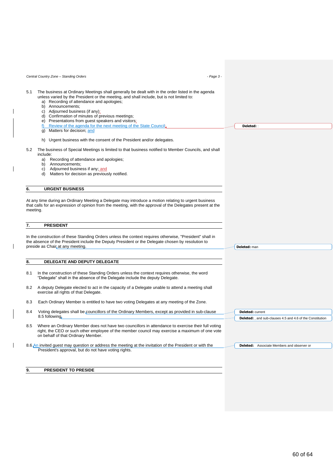|                         | Central Country Zone - Standing Orders<br>- Page 3 -                                                                                                                                                                                                                                                                                                                                                                                                                                                                  |                                                                   |
|-------------------------|-----------------------------------------------------------------------------------------------------------------------------------------------------------------------------------------------------------------------------------------------------------------------------------------------------------------------------------------------------------------------------------------------------------------------------------------------------------------------------------------------------------------------|-------------------------------------------------------------------|
| 5.1                     | The business at Ordinary Meetings shall generally be dealt with in the order listed in the agenda<br>unless varied by the President or the meeting, and shall include, but is not limited to:<br>a) Recording of attendance and apologies;<br>b) Announcements;<br>c) Adjourned business (if any);<br>d) Confirmation of minutes of previous meetings;<br>e) Presentations from guest speakers and visitors;<br>Review of the agenda for the next meeting of the State Council;<br>f)<br>g) Matters for decision; and | Deleted: :                                                        |
| 5.2                     | h) Urgent business with the consent of the President and/or delegates.<br>The business of Special Meetings is limited to that business notified to Member Councils, and shall                                                                                                                                                                                                                                                                                                                                         |                                                                   |
|                         | include:<br>Recording of attendance and apologies;<br>a)                                                                                                                                                                                                                                                                                                                                                                                                                                                              |                                                                   |
|                         | b) Announcements;<br>Adjourned business if any; and<br>C)<br>d) Matters for decision as previously notified.                                                                                                                                                                                                                                                                                                                                                                                                          |                                                                   |
| 6.                      | <b>URGENT BUSINESS</b>                                                                                                                                                                                                                                                                                                                                                                                                                                                                                                |                                                                   |
| meeting.                | At any time during an Ordinary Meeting a Delegate may introduce a motion relating to urgent business<br>that calls for an expression of opinion from the meeting, with the approval of the Delegates present at the                                                                                                                                                                                                                                                                                                   |                                                                   |
| 7.                      | <b>PRESIDENT</b><br>In the construction of these Standing Orders unless the context requires otherwise, "President" shall in<br>the absence of the President include the Deputy President or the Delegate chosen by resolution to                                                                                                                                                                                                                                                                                     |                                                                   |
|                         | preside as Chair at any meeting.                                                                                                                                                                                                                                                                                                                                                                                                                                                                                      | Deleted: man                                                      |
|                         | DELEGATE AND DEPUTY DELEGATE                                                                                                                                                                                                                                                                                                                                                                                                                                                                                          |                                                                   |
|                         | In the construction of these Standing Orders unless the context requires otherwise, the word<br>"Delegate" shall in the absence of the Delegate include the deputy Delegate.                                                                                                                                                                                                                                                                                                                                          |                                                                   |
|                         | A deputy Delegate elected to act in the capacity of a Delegate unable to attend a meeting shall<br>exercise all rights of that Delegate.                                                                                                                                                                                                                                                                                                                                                                              |                                                                   |
| 8.<br>8.1<br>8.2<br>8.3 | Each Ordinary Member is entitled to have two voting Delegates at any meeting of the Zone.                                                                                                                                                                                                                                                                                                                                                                                                                             |                                                                   |
|                         | Voting delegates shall be councillors of the Ordinary Members, except as provided in sub-clause                                                                                                                                                                                                                                                                                                                                                                                                                       | <b>Deleted:</b> current                                           |
| 8.4<br>8.5              | 8.5 following.<br>Where an Ordinary Member does not have two councillors in attendance to exercise their full voting<br>right, the CEO or such other employee of the member council may exercise a maximum of one vote<br>on behalf of that Ordinary Member.                                                                                                                                                                                                                                                          | <b>Deleted:</b> , and sub-clauses 4.5 and 4.6 of the Constitution |

## **9. PRESIDENT TO PRESIDE**

 $\overline{\phantom{a}}$ 

 $\overline{\phantom{a}}$ 

 $\mathsf I$ 

 $\overline{\phantom{a}}$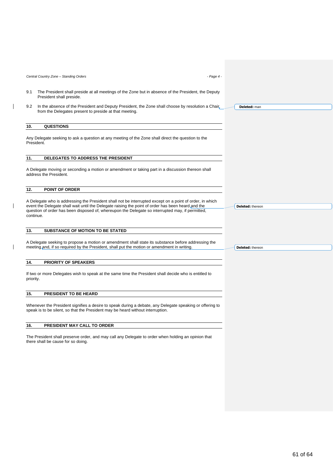*Central Country Zone – Standing Orders - Page 4 -*

- 9.1 The President shall preside at all meetings of the Zone but in absence of the President, the Deputy President shall preside.
- 9.2 In the absence of the President and Deputy President, the Zone shall choose by resolution a Chair, from the Delegates present to preside at that meeting.

#### **10. QUESTIONS**

Any Delegate seeking to ask a question at any meeting of the Zone shall direct the question to the President.

#### **11. DELEGATES TO ADDRESS THE PRESIDENT**

A Delegate moving or seconding a motion or amendment or taking part in a discussion thereon shall address the President.

#### **12. POINT OF ORDER**

A Delegate who is addressing the President shall not be interrupted except on a point of order, in which event the Delegate shall wait until the Delegate raising the point of order has been heard and the question of order has been disposed of, whereupon the Delegate so interrupted may, if permitted, continue.

#### **13. SUBSTANCE OF MOTION TO BE STATED**

A Delegate seeking to propose a motion or amendment shall state its substance before addressing the meeting and, if so required by the President, shall put the motion or amendment in writing.

#### **14. PRIORITY OF SPEAKERS**

If two or more Delegates wish to speak at the same time the President shall decide who is entitled to priority.

#### **15. PRESIDENT TO BE HEARD**

Whenever the President signifies a desire to speak during a debate, any Delegate speaking or offering to speak is to be silent, so that the President may be heard without interruption.

#### **16. PRESIDENT MAY CALL TO ORDER**

The President shall preserve order, and may call any Delegate to order when holding an opinion that there shall be cause for so doing.

**Deleted:** thereon

**Deleted:** thereon

**Deleted:** man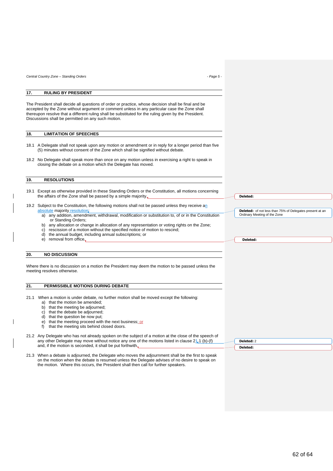#### **17. RULING BY PRESIDENT**

The President shall decide all questions of order or practice, whose decision shall be final and be accepted by the Zone without argument or comment unless in any particular case the Zone shall thereupon resolve that a different ruling shall be substituted for the ruling given by the President. Discussions shall be permitted on any such motion.

#### **18. LIMITATION OF SPEECHES**

- 18.1 A Delegate shall not speak upon any motion or amendment or in reply for a longer period than five (5) minutes without consent of the Zone which shall be signified without debate.
- 18.2 No Delegate shall speak more than once on any motion unless in exercising a right to speak in closing the debate on a motion which the Delegate has moved.

#### **19. RESOLUTIONS**

- 19.1 Except as otherwise provided in these Standing Orders or the Constitution, all motions concerning the affairs of the Zone shall be passed by a simple majority.
- 19.2 Subject to the Constitution, the following motions shall not be passed unless they receive an absolute majority resolution:
	- a) any addition, amendment, withdrawal, modification or substitution to, of or in the Constitution or Standing Orders;
	- b) any allocation or change in allocation of any representation or voting rights on the Zone;
	- c) rescission of a motion without the specified notice of motion to rescind;
	- d) the annual budget, including annual subscriptions; or
	- e) removal from office.

#### **20. NO DISCUSSION**

Where there is no discussion on a motion the President may deem the motion to be passed unless the meeting resolves otherwise.

#### **21. PERMISSIBLE MOTIONS DURING DEBATE**

21.1 When a motion is under debate, no further motion shall be moved except the following:

- a) that the motion be amended;
- b) that the meeting be adjourned;
- c) that the debate be adjourned;
- d) that the question be now put;
- e) that the meeting proceed with the next business; or f) that the meeting sits behind closed doors.
- that the meeting sits behind closed doors.

21.2 Any Delegate who has not already spoken on the subject of a motion at the close of the speech of any other Delegate may move without notice any one of the motions listed in clause 21.1 (b)-(f) and, if the motion is seconded, it shall be put forthwith.

21.3 When a debate is adjourned, the Delegate who moves the adjournment shall be the first to speak on the motion when the debate is resumed unless the Delegate advises of no desire to speak on the motion. Where this occurs, the President shall then call for further speakers.

**Deleted:** 

**Deleted:** 

**Deleted:** of not less than 75% of Delegates present at an Ordinary Meeting of the Zone

**Deleted:** 2 **Deleted:**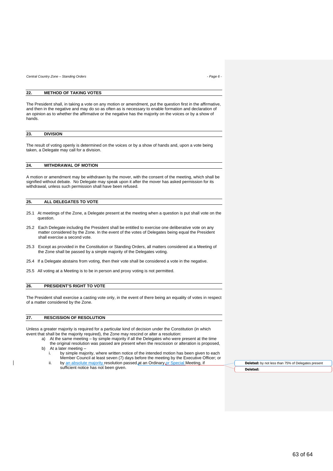*Central Country Zone – Standing Orders - Page 6 -*

#### **22. METHOD OF TAKING VOTES**

The President shall, in taking a vote on any motion or amendment, put the question first in the affirmative, and then in the negative and may do so as often as is necessary to enable formation and declaration of an opinion as to whether the affirmative or the negative has the majority on the voices or by a show of hands.

| 23. | <b>DIVISION</b> |
|-----|-----------------|
|     |                 |

The result of voting openly is determined on the voices or by a show of hands and, upon a vote being taken, a Delegate may call for a division.

#### **24. WITHDRAWAL OF MOTION**

A motion or amendment may be withdrawn by the mover, with the consent of the meeting, which shall be signified without debate. No Delegate may speak upon it after the mover has asked permission for its withdrawal, unless such permission shall have been refused.

#### **25. ALL DELEGATES TO VOTE**

- 25.1 At meetings of the Zone, a Delegate present at the meeting when a question is put shall vote on the question.
- 25.2 Each Delegate including the President shall be entitled to exercise one deliberative vote on any matter considered by the Zone. In the event of the votes of Delegates being equal the President shall exercise a second vote.
- 25.3 Except as provided in the Constitution or Standing Orders, all matters considered at a Meeting of the Zone shall be passed by a simple majority of the Delegates voting.
- 25.4 If a Delegate abstains from voting, then their vote shall be considered a vote in the negative.
- 25.5 All voting at a Meeting is to be in person and proxy voting is not permitted.

#### **26. PRESIDENT'S RIGHT TO VOTE**

The President shall exercise a casting vote only, in the event of there being an equality of votes in respect of a matter considered by the Zone.

#### **27. RESCISSION OF RESOLUTION**

Unless a greater majority is required for a particular kind of decision under the Constitution (in which event that shall be the majority required), the Zone may rescind or alter a resolution:

- a) At the same meeting by simple majority if all the Delegates who were present at the time the original resolution was passed are present when the rescission or alteration is proposed, b) At a later meeting –
	- i. by simple majority, where written notice of the intended motion has been given to each Member Council at least seven (7) days before the meeting by the Executive Officer; or
	- ii. by an absolute majority resolution passed at an Ordinary or Special Meeting, if sufficient notice has not been given.

**Deleted:** by not less than 75% of Delegates present **Deleted:**